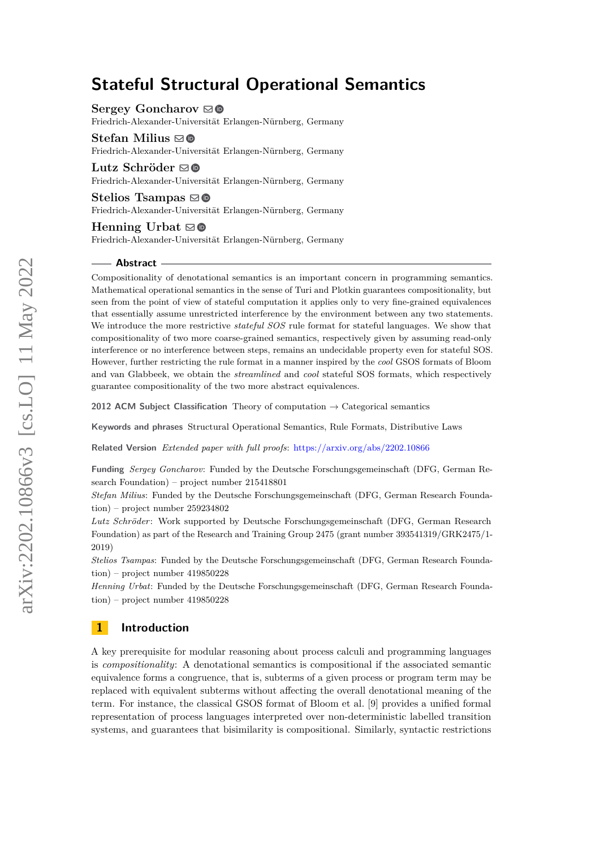<span id="page-0-0"></span>**Sergey Goncharov** ⊠<sup>■</sup>

Friedrich-Alexander-Universität Erlangen-Nürnberg, Germany

**Stefan Milius** [!](mailto:stefan.milius@fau.de) Friedrich-Alexander-Universität Erlangen-Nürnberg, Germany

Lutz Schröder **⊠** Friedrich-Alexander-Universität Erlangen-Nürnberg, Germany

**Stelios Tsampas** [!](mailto:stelios.tsampas@fau.de) Friedrich-Alexander-Universität Erlangen-Nürnberg, Germany

**Henning Urbat** ⊠<sup>■</sup> Friedrich-Alexander-Universität Erlangen-Nürnberg, Germany

# **Abstract**

Compositionality of denotational semantics is an important concern in programming semantics. Mathematical operational semantics in the sense of Turi and Plotkin guarantees compositionality, but seen from the point of view of stateful computation it applies only to very fine-grained equivalences that essentially assume unrestricted interference by the environment between any two statements. We introduce the more restrictive *stateful SOS* rule format for stateful languages. We show that compositionality of two more coarse-grained semantics, respectively given by assuming read-only interference or no interference between steps, remains an undecidable property even for stateful SOS. However, further restricting the rule format in a manner inspired by the *cool* GSOS formats of Bloom and van Glabbeek, we obtain the *streamlined* and *cool* stateful SOS formats, which respectively guarantee compositionality of the two more abstract equivalences.

**2012 ACM Subject Classification** Theory of computation → Categorical semantics

**Keywords and phrases** Structural Operational Semantics, Rule Formats, Distributive Laws

**Related Version** *Extended paper with full proofs*: <https://arxiv.org/abs/2202.10866>

**Funding** *Sergey Goncharov*: Funded by the Deutsche Forschungsgemeinschaft (DFG, German Research Foundation) – project number 215418801

*Stefan Milius*: Funded by the Deutsche Forschungsgemeinschaft (DFG, German Research Foundation) – project number 259234802

*Lutz Schröder*: Work supported by Deutsche Forschungsgemeinschaft (DFG, German Research Foundation) as part of the Research and Training Group 2475 (grant number 393541319/GRK2475/1- 2019)

*Stelios Tsampas*: Funded by the Deutsche Forschungsgemeinschaft (DFG, German Research Foundation) – project number 419850228

*Henning Urbat*: Funded by the Deutsche Forschungsgemeinschaft (DFG, German Research Foundation) – project number 419850228

### **1 Introduction**

A key prerequisite for modular reasoning about process calculi and programming languages is *compositionality*: A denotational semantics is compositional if the associated semantic equivalence forms a congruence, that is, subterms of a given process or program term may be replaced with equivalent subterms without affecting the overall denotational meaning of the term. For instance, the classical GSOS format of Bloom et al. [\[9\]](#page-16-0) provides a unified formal representation of process languages interpreted over non-deterministic labelled transition systems, and guarantees that bisimilarity is compositional. Similarly, syntactic restrictions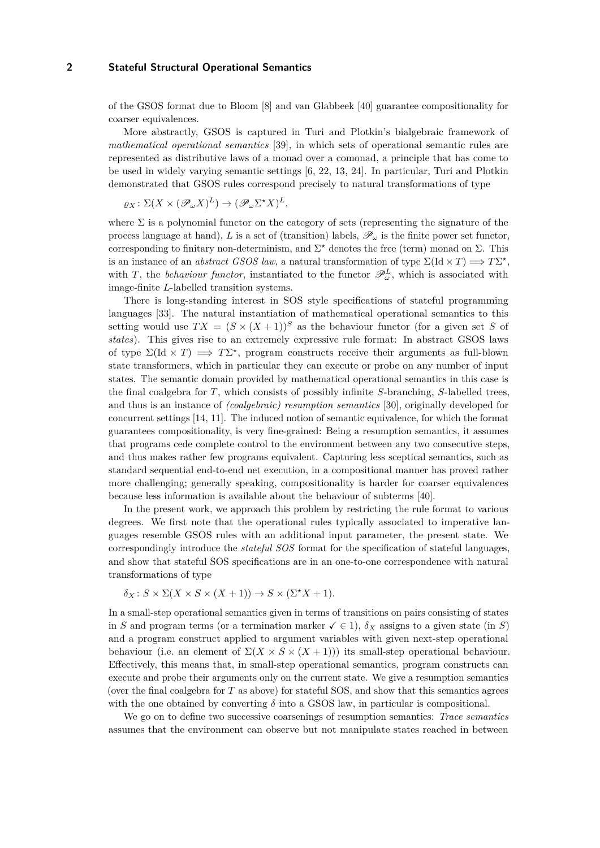of the GSOS format due to Bloom [\[8\]](#page-16-1) and van Glabbeek [\[40\]](#page-18-0) guarantee compositionality for coarser equivalences.

More abstractly, GSOS is captured in Turi and Plotkin's bialgebraic framework of *mathematical operational semantics* [\[39\]](#page-18-1), in which sets of operational semantic rules are represented as distributive laws of a monad over a comonad, a principle that has come to be used in widely varying semantic settings [\[6,](#page-16-2) [22,](#page-17-0) [13,](#page-17-1) [24\]](#page-17-2). In particular, Turi and Plotkin demonstrated that GSOS rules correspond precisely to natural transformations of type

$$
\varrho_X\colon \Sigma(X\times (\mathscr{P}_\omega X)^L)\to (\mathscr{P}_\omega \Sigma^* X)^L,
$$

where  $\Sigma$  is a polynomial functor on the category of sets (representing the signature of the process language at hand), *L* is a set of (transition) labels,  $\mathscr{P}_{\omega}$  is the finite power set functor, corresponding to finitary non-determinism, and  $\Sigma^*$  denotes the free (term) monad on  $\Sigma$ . This is an instance of an *abstract GSOS law*, a natural transformation of type  $\Sigma(\text{Id} \times T) \Longrightarrow T\Sigma^*$ , with *T*, the *behaviour functor*, instantiated to the functor  $\mathscr{P}_{\omega}^{L}$ , which is associated with image-finite *L*-labelled transition systems.

There is long-standing interest in SOS style specifications of stateful programming languages [\[33\]](#page-18-2). The natural instantiation of mathematical operational semantics to this setting would use  $TX = (S \times (X + 1))^S$  as the behaviour functor (for a given set S of *states*). This gives rise to an extremely expressive rule format: In abstract GSOS laws of type  $\Sigma(\text{Id} \times T) \implies T\Sigma^*$ , program constructs receive their arguments as full-blown state transformers, which in particular they can execute or probe on any number of input states. The semantic domain provided by mathematical operational semantics in this case is the final coalgebra for *T*, which consists of possibly infinite *S*-branching, *S*-labelled trees, and thus is an instance of *(coalgebraic) resumption semantics* [\[30\]](#page-18-3), originally developed for concurrent settings [\[14,](#page-17-3) [11\]](#page-16-3). The induced notion of semantic equivalence, for which the format guarantees compositionality, is very fine-grained: Being a resumption semantics, it assumes that programs cede complete control to the environment between any two consecutive steps, and thus makes rather few programs equivalent. Capturing less sceptical semantics, such as standard sequential end-to-end net execution, in a compositional manner has proved rather more challenging; generally speaking, compositionality is harder for coarser equivalences because less information is available about the behaviour of subterms [\[40\]](#page-18-0).

In the present work, we approach this problem by restricting the rule format to various degrees. We first note that the operational rules typically associated to imperative languages resemble GSOS rules with an additional input parameter, the present state. We correspondingly introduce the *stateful SOS* format for the specification of stateful languages, and show that stateful SOS specifications are in an one-to-one correspondence with natural transformations of type

$$
\delta_X \colon S \times \Sigma(X \times S \times (X+1)) \to S \times (\Sigma^* X + 1).
$$

In a small-step operational semantics given in terms of transitions on pairs consisting of states in *S* and program terms (or a termination marker  $\checkmark \in 1$ ),  $\delta_X$  assigns to a given state (in *S*) and a program construct applied to argument variables with given next-step operational behaviour (i.e. an element of  $\Sigma(X \times S \times (X+1))$ ) its small-step operational behaviour. Effectively, this means that, in small-step operational semantics, program constructs can execute and probe their arguments only on the current state. We give a resumption semantics (over the final coalgebra for  $T$  as above) for stateful SOS, and show that this semantics agrees with the one obtained by converting  $\delta$  into a GSOS law, in particular is compositional.

We go on to define two successive coarsenings of resumption semantics: *Trace semantics* assumes that the environment can observe but not manipulate states reached in between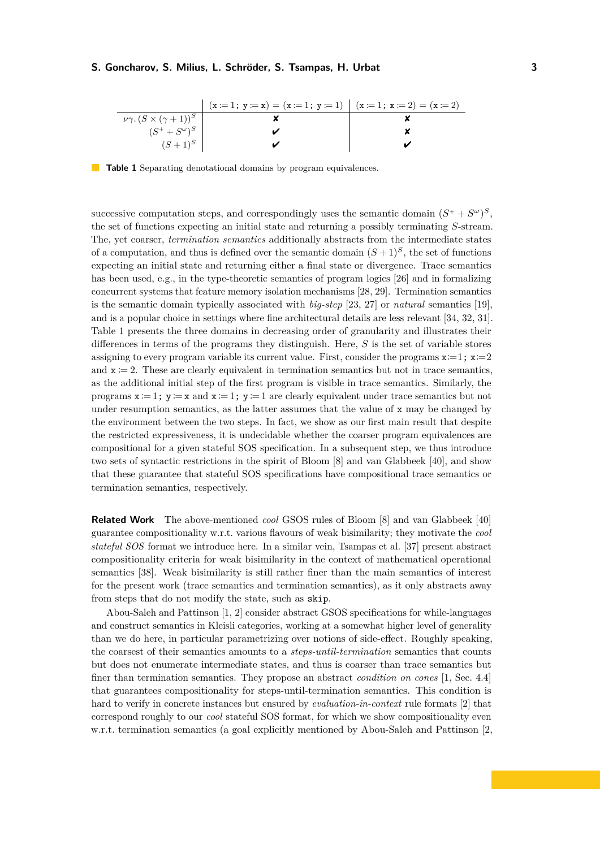<span id="page-2-0"></span>

| $(x := 1; y := x) = (x := 1; y := 1)$ | $(x := 1; x := 2) = (x := 2)$ |             |                        |             |                        |                        |                        |                        |                        |                        |                        |                        |                        |                        |                        |                        |                        |                        |                        |                        |                        |                        |                        |                        |                        |                        |                        |                        |                        |                        |                        |                        |                        |
|---------------------------------------|-------------------------------|-------------|------------------------|-------------|------------------------|------------------------|------------------------|------------------------|------------------------|------------------------|------------------------|------------------------|------------------------|------------------------|------------------------|------------------------|------------------------|------------------------|------------------------|------------------------|------------------------|------------------------|------------------------|------------------------|------------------------|------------------------|------------------------|------------------------|------------------------|------------------------|------------------------|------------------------|------------------------|
| $(S^+ + S^{\omega})^S$                | $(S + 1)^S$                   | $(S + 1)^S$ | $(S^+ + S^{\omega})^S$ | $(S + 1)^S$ | $(S^+ + S^{\omega})^S$ | $(S^+ + S^{\omega})^S$ | $(S^+ + S^{\omega})^S$ | $(S^+ + S^{\omega})^S$ | $(S^+ + S^{\omega})^S$ | $(S^+ + S^{\omega})^S$ | $(S^+ + S^{\omega})^S$ | $(S^+ + S^{\omega})^S$ | $(S^+ + S^{\omega})^S$ | $(S^+ + S^{\omega})^S$ | $(S^+ + S^{\omega})^S$ | $(S^+ + S^{\omega})^S$ | $(S^+ + S^{\omega})^S$ | $(S^+ + S^{\omega})^S$ | $(S^+ + S^{\omega})^S$ | $(S^+ + S^{\omega})^S$ | $(S^+ + S^{\omega})^S$ | $(S^+ + S^{\omega})^S$ | $(S^+ + S^{\omega})^S$ | $(S^+ + S^{\omega})^S$ | $(S^+ + S^{\omega})^S$ | $(S^+ + S^{\omega})^S$ | $(S^+ + S^{\omega})^S$ | $(S^+ + S^{\omega})^S$ | $(S^+ + S^{\omega})^S$ | $(S^+ + S^{\omega})^S$ | $(S^+ + S^{\omega})^S$ | $(S^+ + S^{\omega})^S$ | $(S^+ + S^{\omega})^S$ |

**Table 1** Separating denotational domains by program equivalences.

successive computation steps, and correspondingly uses the semantic domain  $(S^+ + S^{\omega})^S$ , the set of functions expecting an initial state and returning a possibly terminating *S*-stream. The, yet coarser, *termination semantics* additionally abstracts from the intermediate states of a computation, and thus is defined over the semantic domain  $(S+1)^S$ , the set of functions expecting an initial state and returning either a final state or divergence. Trace semantics has been used, e.g., in the type-theoretic semantics of program logics [\[26\]](#page-17-4) and in formalizing concurrent systems that feature memory isolation mechanisms [\[28,](#page-18-4) [29\]](#page-18-5). Termination semantics is the semantic domain typically associated with *big-step* [\[23,](#page-17-5) [27\]](#page-17-6) or *natural* semantics [\[19\]](#page-17-7), and is a popular choice in settings where fine architectural details are less relevant [\[34,](#page-18-6) [32,](#page-18-7) [31\]](#page-18-8). [Table 1](#page-2-0) presents the three domains in decreasing order of granularity and illustrates their differences in terms of the programs they distinguish. Here, *S* is the set of variable stores assigning to every program variable its current value. First, consider the programs  $x:=1$ ;  $x:=2$ and  $x := 2$ . These are clearly equivalent in termination semantics but not in trace semantics. as the additional initial step of the first program is visible in trace semantics. Similarly, the programs  $x = 1$ ;  $y = x$  and  $x = 1$ ;  $y = 1$  are clearly equivalent under trace semantics but not under resumption semantics, as the latter assumes that the value of x may be changed by the environment between the two steps. In fact, we show as our first main result that despite the restricted expressiveness, it is undecidable whether the coarser program equivalences are compositional for a given stateful SOS specification. In a subsequent step, we thus introduce two sets of syntactic restrictions in the spirit of Bloom [\[8\]](#page-16-1) and van Glabbeek [\[40\]](#page-18-0), and show that these guarantee that stateful SOS specifications have compositional trace semantics or termination semantics, respectively.

**Related Work** The above-mentioned *cool* GSOS rules of Bloom [\[8\]](#page-16-1) and van Glabbeek [\[40\]](#page-18-0) guarantee compositionality w.r.t. various flavours of weak bisimilarity; they motivate the *cool stateful SOS* format we introduce here. In a similar vein, Tsampas et al. [\[37\]](#page-18-9) present abstract compositionality criteria for weak bisimilarity in the context of mathematical operational semantics [\[38\]](#page-18-10). Weak bisimilarity is still rather finer than the main semantics of interest for the present work (trace semantics and termination semantics), as it only abstracts away from steps that do not modify the state, such as skip.

Abou-Saleh and Pattinson [\[1,](#page-16-4) [2\]](#page-16-5) consider abstract GSOS specifications for while-languages and construct semantics in Kleisli categories, working at a somewhat higher level of generality than we do here, in particular parametrizing over notions of side-effect. Roughly speaking, the coarsest of their semantics amounts to a *steps-until-termination* semantics that counts but does not enumerate intermediate states, and thus is coarser than trace semantics but finer than termination semantics. They propose an abstract *condition on cones* [\[1,](#page-16-4) Sec. 4.4] that guarantees compositionality for steps-until-termination semantics. This condition is hard to verify in concrete instances but ensured by *evaluation-in-context* rule formats [\[2\]](#page-16-5) that correspond roughly to our *cool* stateful SOS format, for which we show compositionality even w.r.t. termination semantics (a goal explicitly mentioned by Abou-Saleh and Pattinson [\[2,](#page-16-5)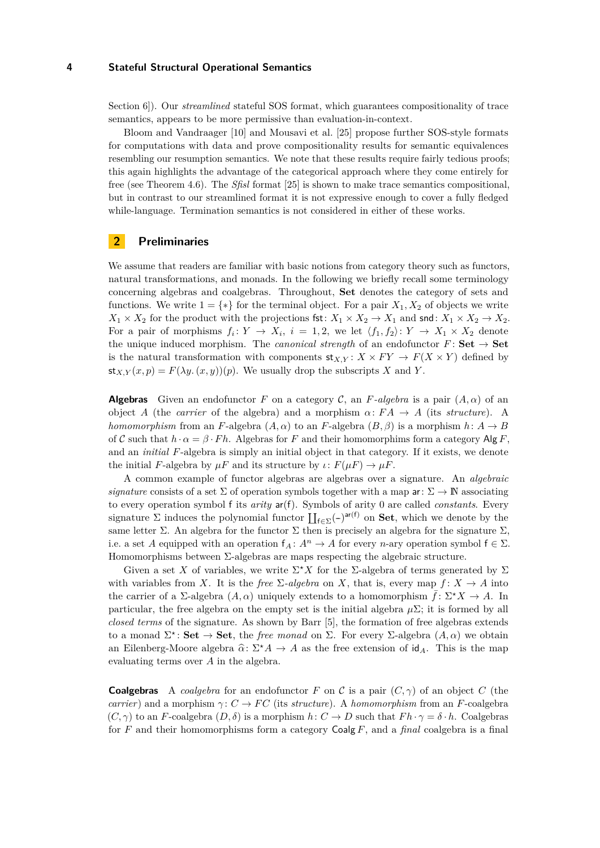Section 6]). Our *streamlined* stateful SOS format, which guarantees compositionality of trace semantics, appears to be more permissive than evaluation-in-context.

Bloom and Vandraager [\[10\]](#page-16-6) and Mousavi et al. [\[25\]](#page-17-8) propose further SOS-style formats for computations with data and prove compositionality results for semantic equivalences resembling our resumption semantics. We note that these results require fairly tedious proofs; this again highlights the advantage of the categorical approach where they come entirely for free (see [Theorem 4.6\)](#page-9-0). The *Sfisl* format [\[25\]](#page-17-8) is shown to make trace semantics compositional, but in contrast to our streamlined format it is not expressive enough to cover a fully fledged while-language. Termination semantics is not considered in either of these works.

# <span id="page-3-0"></span>**2 Preliminaries**

We assume that readers are familiar with basic notions from category theory such as functors, natural transformations, and monads. In the following we briefly recall some terminology concerning algebras and coalgebras. Throughout, **Set** denotes the category of sets and functions. We write  $1 = \{*\}$  for the terminal object. For a pair  $X_1, X_2$  of objects we write  $X_1 \times X_2$  for the product with the projections fst:  $X_1 \times X_2 \to X_1$  and snd:  $X_1 \times X_2 \to X_2$ . For a pair of morphisms  $f_i: Y \to X_i$ ,  $i = 1, 2$ , we let  $\langle f_1, f_2 \rangle: Y \to X_1 \times X_2$  denote the unique induced morphism. The *canonical strength* of an endofunctor  $F: Set \rightarrow Set$ is the natural transformation with components  $\mathsf{st}_{X,Y}: X \times FY \to F(X \times Y)$  defined by  $\mathsf{st}_{X,Y}(x,p) = F(\lambda y \cdot (x,y))(p)$ . We usually drop the subscripts X and Y.

**Algebras** Given an endofunctor *F* on a category *C*, an *F*-algebra is a pair  $(A, \alpha)$  of an object *A* (the *carrier* of the algebra) and a morphism  $\alpha: FA \rightarrow A$  (its *structure*). A *homomorphism* from an *F*-algebra  $(A, \alpha)$  to an *F*-algebra  $(B, \beta)$  is a morphism  $h: A \rightarrow B$ of C such that  $h \cdot \alpha = \beta \cdot F h$ . Algebras for F and their homomorphims form a category Alg F, and an *initial F*-algebra is simply an initial object in that category. If it exists, we denote the initial *F*-algebra by  $\mu F$  and its structure by  $\iota: F(\mu F) \to \mu F$ .

A common example of functor algebras are algebras over a signature. An *algebraic signature* consists of a set  $\Sigma$  of operation symbols together with a map ar:  $\Sigma \to \mathbb{N}$  associating to every operation symbol f its *arity* ar(f). Symbols of arity 0 are called *constants*. Every signature  $\Sigma$  induces the polynomial functor  $\prod_{f \in \Sigma} (-)^{ar(f)}$  on **Set**, which we denote by the same letter Σ. An algebra for the functor Σ then is precisely an algebra for the signature  $\Sigma$ , i.e. a set *A* equipped with an operation  $f_A: A^n \to A$  for every *n*-ary operation symbol  $f \in \Sigma$ . Homomorphisms between  $\Sigma$ -algebras are maps respecting the algebraic structure.

Given a set *X* of variables, we write  $\Sigma^* X$  for the  $\Sigma$ -algebra of terms generated by  $\Sigma$ with variables from *X*. It is the *free*  $\Sigma$ -*algebra* on *X*, that is, every map  $f: X \to A$  into the carrier of a  $\Sigma$ -algebra  $(A, \alpha)$  uniquely extends to a homomorphism  $\bar{f} : \Sigma^* X \to A$ . In particular, the free algebra on the empty set is the initial algebra  $\mu\Sigma$ ; it is formed by all *closed terms* of the signature. As shown by Barr [\[5\]](#page-16-7), the formation of free algebras extends to a monad  $\Sigma^*$ : **Set**  $\to$  **Set**, the *free monad* on  $\Sigma$ . For every  $\Sigma$ -algebra  $(A, \alpha)$  we obtain an Eilenberg-Moore algebra  $\hat{\alpha} \colon \Sigma^* A \to A$  as the free extension of  $\mathsf{id}_A$ . This is the map evaluating terms over *A* in the algebra.

**Coalgebras** A *coalgebra* for an endofunctor *F* on C is a pair  $(C, \gamma)$  of an object C (the *carrier*) and a morphism *γ*:  $C \rightarrow FC$  (its *structure*). A *homomorphism* from an *F*-coalgebra  $(C, \gamma)$  to an *F*-coalgebra  $(D, \delta)$  is a morphism  $h: C \to D$  such that  $Fh \cdot \gamma = \delta \cdot h$ . Coalgebras for *F* and their homomorphisms form a category Coalg *F*, and a *final* coalgebra is a final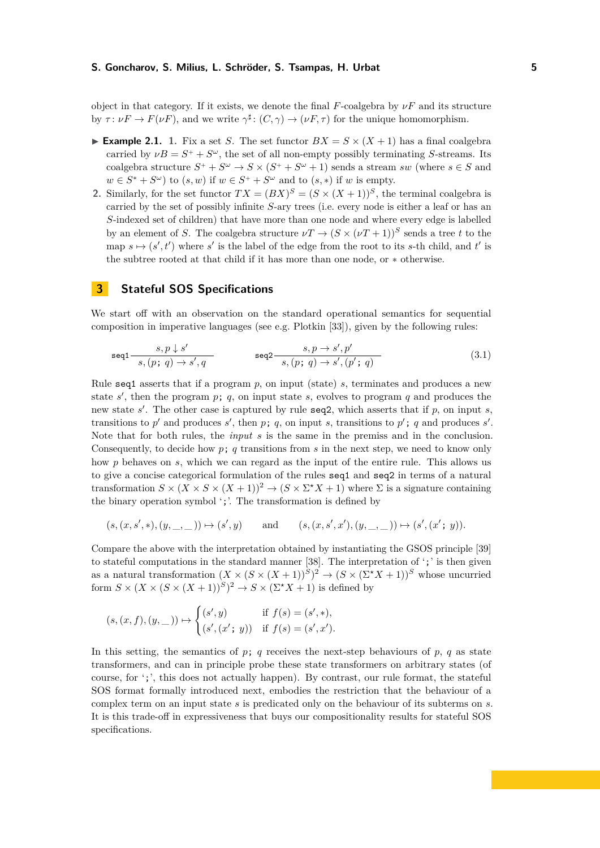object in that category. If it exists, we denote the final  $F$ -coalgebra by  $\nu F$  and its structure by  $\tau : \nu F \to F(\nu F)$ , and we write  $\gamma^{\sharp} : (C, \gamma) \to (\nu F, \tau)$  for the unique homomorphism.

- **Example 2.1.** 1. Fix a set *S*. The set functor  $BX = S \times (X + 1)$  has a final coalgebra carried by  $\nu B = S^+ + S^{\omega}$ , the set of all non-empty possibly terminating *S*-streams. Its coalgebra structure  $S^+ + S^{\omega} \rightarrow S \times (S^+ + S^{\omega} + 1)$  sends a stream *sw* (where  $s \in S$  and  $w \in S^* + S^\omega$  to  $(s, w)$  if  $w \in S^* + S^\omega$  and to  $(s, *)$  if *w* is empty.
- **2.** Similarly, for the set functor  $TX = (BX)^S = (S \times (X + 1))^S$ , the terminal coalgebra is carried by the set of possibly infinite *S*-ary trees (i.e. every node is either a leaf or has an *S*-indexed set of children) that have more than one node and where every edge is labelled by an element of *S*. The coalgebra structure  $\nu T \rightarrow (S \times (\nu T + 1))^S$  sends a tree *t* to the map  $s \mapsto (s', t')$  where  $s'$  is the label of the edge from the root to its *s*-th child, and  $t'$  is the subtree rooted at that child if it has more than one node, or ∗ otherwise.

### **3 Stateful SOS Specifications**

We start off with an observation on the standard operational semantics for sequential composition in imperative languages (see e.g. Plotkin [\[33\]](#page-18-2)), given by the following rules:

$$
\sec q1 \frac{s, p \downarrow s'}{s, (p; q) \to s', q} \qquad \sec q2 \frac{s, p \to s', p'}{s, (p; q) \to s', (p'; q)} \tag{3.1}
$$

Rule seq1 asserts that if a program *p*, on input (state) *s*, terminates and produces a new state *s* ′ , then the program *p*; *q*, on input state *s*, evolves to program *q* and produces the new state *s* ′ . The other case is captured by rule seq2, which asserts that if *p*, on input *s*, transitions to  $p'$  and produces  $s'$ , then  $p$ ;  $q$ , on input  $s$ , transitions to  $p'$ ;  $q$  and produces  $s'$ . Note that for both rules, the *input s* is the same in the premiss and in the conclusion. Consequently, to decide how *p*; *q* transitions from *s* in the next step, we need to know only how *p* behaves on *s*, which we can regard as the input of the entire rule. This allows us to give a concise categorical formulation of the rules seq1 and seq2 in terms of a natural transformation  $S \times (X \times S \times (X + 1))^2 \rightarrow (S \times \Sigma^* X + 1)$  where  $\Sigma$  is a signature containing the binary operation symbol ';'. The transformation is defined by

$$
(s,(x,s',*),(y,\_,\_) ) \mapsto (s',y) \qquad \text{and} \qquad (s,(x,s',x'),(y,\_,\_) ) \mapsto (s',(x';y)).
$$

Compare the above with the interpretation obtained by instantiating the GSOS principle [\[39\]](#page-18-1) to stateful computations in the standard manner [\[38\]](#page-18-10). The interpretation of  $\cdot$ ; is then given as a natural transformation  $(X \times (S \times (X+1))^{S})^{2} \to (S \times (\Sigma^{*} X + 1))^{S}$  whose uncurried form  $S \times (X \times (S \times (X + 1))^{S})^2 \rightarrow S \times (\Sigma^* X + 1)$  is defined by

$$
(s,(x,f),(y,\_))\mapsto \begin{cases} (s',y) & \text{if } f(s)=(s',*),\\ (s',(x';y)) & \text{if } f(s)=(s',x').\end{cases}
$$

In this setting, the semantics of  $p$ ;  $q$  receives the next-step behaviours of  $p$ ,  $q$  as state transformers, and can in principle probe these state transformers on arbitrary states (of course, for ';', this does not actually happen). By contrast, our rule format, the stateful SOS format formally introduced next, embodies the restriction that the behaviour of a complex term on an input state *s* is predicated only on the behaviour of its subterms on *s*. It is this trade-off in expressiveness that buys our compositionality results for stateful SOS specifications.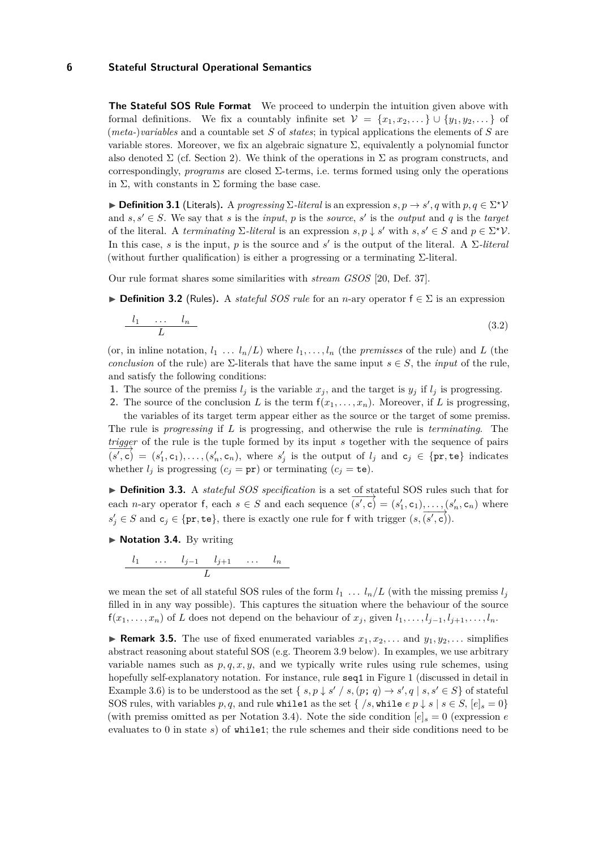**The Stateful SOS Rule Format** We proceed to underpin the intuition given above with formal definitions. We fix a countably infinite set  $V = \{x_1, x_2, \dots\} \cup \{y_1, y_2, \dots\}$  of (*meta-*)*variables* and a countable set *S* of *states*; in typical applications the elements of *S* are variable stores. Moreover, we fix an algebraic signature  $\Sigma$ , equivalently a polynomial functor also denoted  $\Sigma$  (cf. [Section 2\)](#page-3-0). We think of the operations in  $\Sigma$  as program constructs, and correspondingly, *programs* are closed Σ-terms, i.e. terms formed using only the operations in  $\Sigma$ , with constants in  $\Sigma$  forming the base case.

 $\blacktriangleright$  **Definition 3.1** (Literals). A *progressing*  $\Sigma$ -literal is an expression  $s, p \to s'$ , q with  $p, q \in \Sigma^* \mathcal{V}$ and  $s, s' \in S$ . We say that *s* is the *input*, *p* is the *source*, *s'* is the *output* and *q* is the *target* of the literal. A *terminating*  $\Sigma$ -literal is an expression  $s, p \downarrow s'$  with  $s, s' \in S$  and  $p \in \Sigma^{\star} \mathcal{V}$ . In this case, *s* is the input, *p* is the source and *s'* is the output of the literal. A  $\Sigma$ -literal (without further qualification) is either a progressing or a terminating  $\Sigma$ -literal.

Our rule format shares some similarities with *stream GSOS* [\[20,](#page-17-9) Def. 37].

**► Definition 3.2** (Rules). A *stateful SOS rule* for an *n*-ary operator  $f \in \Sigma$  is an expression

$$
\frac{l_1 \quad \ldots \quad l_n}{L} \tag{3.2}
$$

(or, in inline notation,  $l_1 \ldots l_n/L$ ) where  $l_1, \ldots, l_n$  (the *premisses* of the rule) and L (the *conclusion* of the rule) are  $\Sigma$ -literals that have the same input  $s \in S$ , the *input* of the rule, and satisfy the following conditions:

- **1.** The source of the premiss  $l_j$  is the variable  $x_j$ , and the target is  $y_j$  if  $l_j$  is progressing.
- **2.** The source of the conclusion *L* is the term  $f(x_1, \ldots, x_n)$ . Moreover, if *L* is progressing, the variables of its target term appear either as the source or the target of some premiss.

The rule is *progressing* if *L* is progressing, and otherwise the rule is *terminating*. The *trigger* of the rule is the tuple formed by its input *s* together with the sequence of pairs  $\overline{(s', \mathbf{c})} = (s'_1, \mathbf{c}_1), \ldots, (s'_n, \mathbf{c}_n)$ , where  $s'_j$  is the output of *l<sub>j</sub>* and  $\mathbf{c}_j \in \{pr, \mathbf{t}\}\$ indicates whether  $l_i$  is progressing  $(c_i = \text{pr})$  or terminating  $(c_i = \text{te})$ .

<span id="page-5-1"></span>▶ **Definition 3.3.** A *stateful SOS specification* is a set of stateful SOS rules such that for  $\epsilon$  cannot *n*-ary operator f, each  $s \in S$  and each sequence  $(s', c) = (s'_1, c_1), \ldots, (s'_n, c_n)$  where  $s'_j \in S$  and  $c_j \in \{\text{pr}, \text{te}\},$  there is exactly one rule for f with trigger  $(s, \overline{(s', c)})$ .

<span id="page-5-0"></span>▶ **Notation 3.4.** By writing

$$
\frac{l_1 \cdots l_{j-1} \quad l_{j+1} \cdots l_n}{L}
$$

we mean the set of all stateful SOS rules of the form  $l_1 \ldots l_n/L$  (with the missing premiss  $l_j$ filled in in any way possible). This captures the situation where the behaviour of the source  $f(x_1, \ldots, x_n)$  of *L* does not depend on the behaviour of  $x_j$ , given  $l_1, \ldots, l_{j-1}, l_{j+1}, \ldots, l_n$ .

<span id="page-5-2"></span>**• Remark 3.5.** The use of fixed enumerated variables  $x_1, x_2, \ldots$  and  $y_1, y_2, \ldots$  simplifies abstract reasoning about stateful SOS (e.g. [Theorem 3.9](#page-7-0) below). In examples, we use arbitrary variable names such as  $p, q, x, y$ , and we typically write rules using rule schemes, using hopefully self-explanatory notation. For instance, rule seq1 in [Figure 1](#page-6-0) (discussed in detail in [Example 3.6\)](#page-6-1) is to be understood as the set  $\{ s, p \downarrow s' / s, (p; q) \rightarrow s', q \mid s, s' \in S \}$  of stateful SOS rules, with variables  $p, q$ , and rule while1 as the set  $\{ /s, \text{while } e p \downarrow s \mid s \in S, [e]_s = 0 \}$ (with premiss omitted as per [Notation 3.4\)](#page-5-0). Note the side condition  $[e]_s = 0$  (expression  $e$ evaluates to 0 in state *s*) of while1; the rule schemes and their side conditions need to be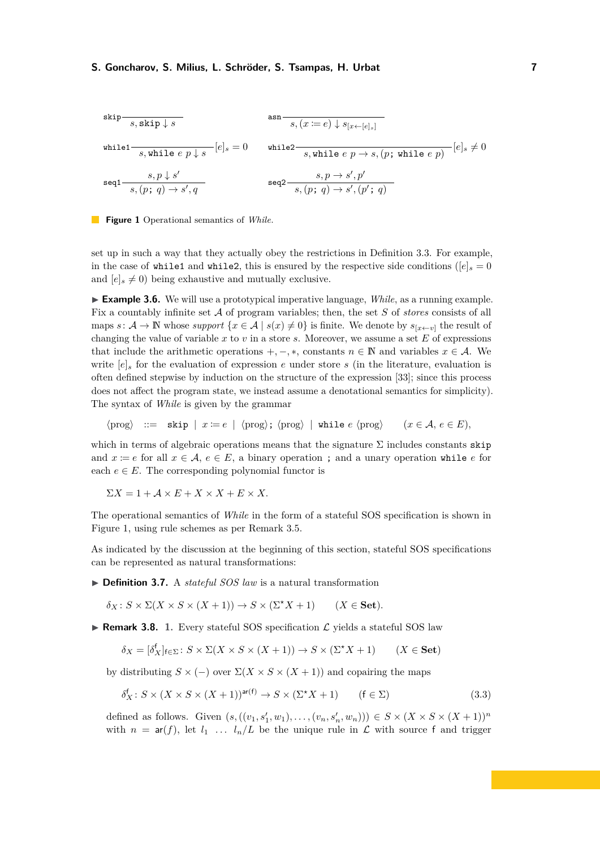<span id="page-6-0"></span>
$$
\begin{array}{ll}\n\text{skip} & \text{as} & \\
\hline\ns, \text{skip} \downarrow s & \\
\text{while} & 1 \\
\hline\n\text{while} & 1 \quad \text{while } e \ p \downarrow s \\
\text{while} & e \ p \downarrow s\n\end{array}\n\quad\n\begin{array}{ll}\n\text{as} & \\
\text{as} & \\
\hline\ns, (x := e) \downarrow s_{[x \leftarrow [e]_s]}} \\
\text{while} & 2 \quad \text{while } e \ p \to s, (p; \text{ while } e \ p)\n\end{array}\n\quad\n\begin{array}{ll}\n[e]_s \neq 0 \\
\hline\n\text{in} & \\
\hline\ns, (p; q) \to s', p'\n\end{array}\n\quad\n\begin{array}{ll}\n[e]_s \neq 0 \\
\hline\n\end{array}
$$

**Figure 1** Operational semantics of *While*.

set up in such a way that they actually obey the restrictions in [Definition 3.3.](#page-5-1) For example, in the case of while1 and while2, this is ensured by the respective side conditions ( $[e]_s = 0$ and  $[e]_s \neq 0$ ) being exhaustive and mutually exclusive.

<span id="page-6-1"></span>▶ **Example 3.6.** We will use a prototypical imperative language, *While*, as a running example. Fix a countably infinite set A of program variables; then, the set *S* of *stores* consists of all maps  $s: \mathcal{A} \to \mathbb{N}$  whose *support*  $\{x \in \mathcal{A} \mid s(x) \neq 0\}$  is finite. We denote by  $s_{[x \leftarrow v]}$  the result of changing the value of variable *x* to *v* in a store *s*. Moreover, we assume a set *E* of expressions that include the arithmetic operations  $+,-,*,$  constants  $n \in \mathbb{N}$  and variables  $x \in \mathcal{A}$ . We write  $[e]_s$  for the evaluation of expression *e* under store *s* (in the literature, evaluation is often defined stepwise by induction on the structure of the expression [\[33\]](#page-18-2); since this process does not affect the program state, we instead assume a denotational semantics for simplicity). The syntax of *While* is given by the grammar

$$
\langle \text{prog} \rangle \ ::= \ \texttt{skip} \ | \ x \coloneqq e \ | \ \langle \text{prog} \rangle; \ \langle \text{prog} \rangle \ | \ \texttt{while} \ e \ \langle \text{prog} \rangle \quad (x \in \mathcal{A}, e \in E),
$$

which in terms of algebraic operations means that the signature  $\Sigma$  includes constants skip and  $x = e$  for all  $x \in A$ ,  $e \in E$ , a binary operation; and a unary operation while *e* for each  $e \in E$ . The corresponding polynomial functor is

 $\Sigma X = 1 + A \times E + X \times X + E \times X$ .

The operational semantics of *While* in the form of a stateful SOS specification is shown in [Figure 1,](#page-6-0) using rule schemes as per [Remark 3.5.](#page-5-2)

As indicated by the discussion at the beginning of this section, stateful SOS specifications can be represented as natural transformations:

<span id="page-6-2"></span>▶ **Definition 3.7.** A *stateful SOS law* is a natural transformation

 $\delta_X$ :  $S \times \Sigma(X \times S \times (X+1)) \rightarrow S \times (\Sigma^* X + 1)$  (*X* ∈ **Set**).

<span id="page-6-4"></span>**• Remark 3.8.** 1. Every stateful SOS specification  $\mathcal{L}$  yields a stateful SOS law

$$
\delta_X = [\delta_X^{\mathsf{f}}]_{\mathsf{f} \in \Sigma} \colon S \times \Sigma(X \times S \times (X+1)) \to S \times (\Sigma^* X + 1) \qquad (X \in \mathbf{Set})
$$

by distributing  $S \times (-)$  over  $\Sigma(X \times S \times (X + 1))$  and copairing the maps

<span id="page-6-3"></span>
$$
\delta_X^{\mathsf{f}} : S \times (X \times S \times (X+1))^{\mathsf{ar}(\mathsf{f})} \to S \times (\Sigma^* X + 1) \qquad (\mathsf{f} \in \Sigma) \tag{3.3}
$$

defined as follows. Given  $(s, ((v_1, s'_1, w_1), \ldots, (v_n, s'_n, w_n))) \in S \times (X \times S \times (X + 1))^n$ with  $n = \text{ar}(f)$ , let  $l_1 \ldots l_n/L$  be the unique rule in  $\mathcal L$  with source f and trigger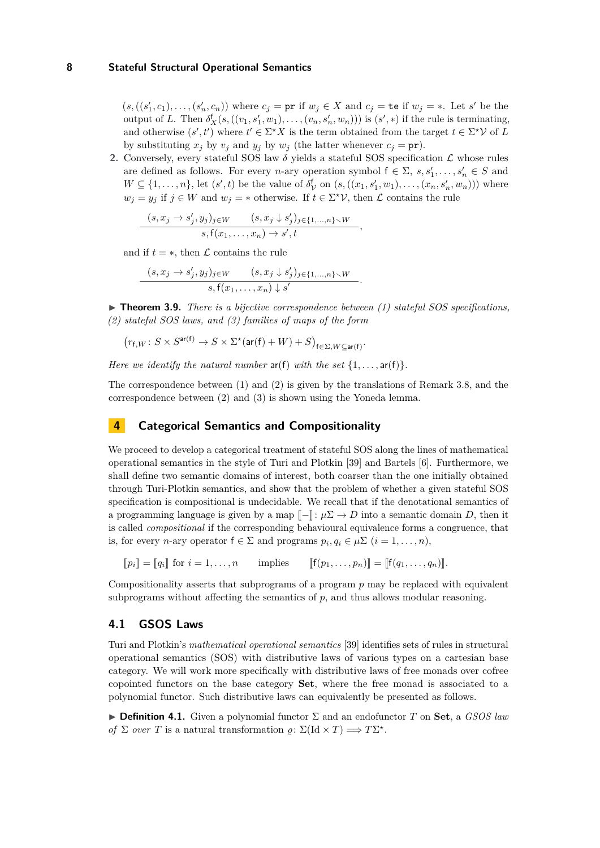$(s, ((s'_1, c_1), \ldots, (s'_n, c_n))$  where  $c_j = \text{pr if } w_j \in X$  and  $c_j = \text{te if } w_j = *$ . Let s' be the output of *L*. Then  $\delta_X^{\mathsf{f}}(s, ((v_1, s'_1, w_1), \ldots, (v_n, s'_n, w_n)))$  is  $(s', *)$  if the rule is terminating, and otherwise  $(s', t')$  where  $t' \in \Sigma^* X$  is the term obtained from the target  $t \in \Sigma^* \mathcal{V}$  of *L* by substituting  $x_j$  by  $v_j$  and  $y_j$  by  $w_j$  (the latter whenever  $c_j = \text{pr}$ ).

<span id="page-7-3"></span>**2.** Conversely, every stateful SOS law  $\delta$  yields a stateful SOS specification  $\mathcal{L}$  whose rules are defined as follows. For every *n*-ary operation symbol  $f \in \Sigma$ ,  $s, s'_1, \ldots, s'_n \in S$  and  $W \subseteq \{1, ..., n\}$ , let  $(s', t)$  be the value of  $\delta_V^{\mathsf{f}}$  on  $(s, ((x_1, s'_1, w_1), ..., (x_n, s'_n, w_n)))$  where *w*<sup>*j*</sup> = *y*<sup>*j*</sup> if *j* ∈ *W* and *w*<sup>*j*</sup> = ∗ otherwise. If *t* ∈  $\Sigma^*$ V, then  $\mathcal L$  contains the rule

$$
\frac{(s,x_j \to s'_j,y_j)_{j \in W} \qquad (s,x_j \downarrow s'_j)_{j \in \{1,\ldots,n\} \smallsetminus W}}{s,\mathsf{f}(x_1,\ldots,x_n) \to s',t},
$$

and if  $t = *$ , then  $\mathcal L$  contains the rule

 $\overline{a}$ 

$$
\frac{(s, x_j \to s'_j, y_j)_{j \in W} \qquad (s, x_j \downarrow s'_j)_{j \in \{1, \dots, n\} \setminus W}}{s, f(x_1, \dots, x_n) \downarrow s'}.
$$

<span id="page-7-0"></span>▶ **Theorem 3.9.** *There is a bijective correspondence between (1) stateful SOS specifications, (2) stateful SOS laws, and (3) families of maps of the form*

$$
(r_{\mathsf{f},W} \colon S \times S^{\mathsf{ar}(\mathsf{f})} \to S \times \Sigma^{\star}(\mathsf{ar}(\mathsf{f}) + W) + S)_{\mathsf{f} \in \Sigma, W \subseteq \mathsf{ar}(\mathsf{f})}.
$$

*Here we identify the natural number*  $ar(f)$  *with the set*  $\{1, \ldots, ar(f)\}$ *.* 

The correspondence between (1) and (2) is given by the translations of [Remark 3.8,](#page-0-0) and the correspondence between (2) and (3) is shown using the Yoneda lemma.

### **4 Categorical Semantics and Compositionality**

We proceed to develop a categorical treatment of stateful SOS along the lines of mathematical operational semantics in the style of Turi and Plotkin [\[39\]](#page-18-1) and Bartels [\[6\]](#page-16-2). Furthermore, we shall define two semantic domains of interest, both coarser than the one initially obtained through Turi-Plotkin semantics, and show that the problem of whether a given stateful SOS specification is compositional is undecidable. We recall that if the denotational semantics of a programming language is given by a map  $\llbracket - \rrbracket$ :  $\mu \Sigma \to D$  into a semantic domain *D*, then it is called *compositional* if the corresponding behavioural equivalence forms a congruence, that is, for every *n*-ary operator  $f \in \Sigma$  and programs  $p_i, q_i \in \mu\Sigma$   $(i = 1, ..., n)$ ,

$$
[\![p_i]\!] = [\![q_i]\!] \text{ for } i = 1, \ldots, n \quad \text{ implies } \quad [\![\mathsf{f}(p_1, \ldots, p_n)]\!] = [\![\mathsf{f}(q_1, \ldots, q_n)]\!].
$$

Compositionality asserts that subprograms of a program *p* may be replaced with equivalent subprograms without affecting the semantics of *p*, and thus allows modular reasoning.

### <span id="page-7-2"></span>**4.1 GSOS Laws**

Turi and Plotkin's *mathematical operational semantics* [\[39\]](#page-18-1) identifies sets of rules in structural operational semantics (SOS) with distributive laws of various types on a cartesian base category. We will work more specifically with distributive laws of free monads over cofree copointed functors on the base category **Set**, where the free monad is associated to a polynomial functor. Such distributive laws can equivalently be presented as follows.

<span id="page-7-1"></span>▶ **Definition 4.1.** Given a polynomial functor Σ and an endofunctor *T* on **Set**, a *GSOS law of*  $\Sigma$  *over*  $T$  is a natural transformation  $\varrho: \Sigma(\text{Id} \times T) \Longrightarrow T\Sigma^*$ .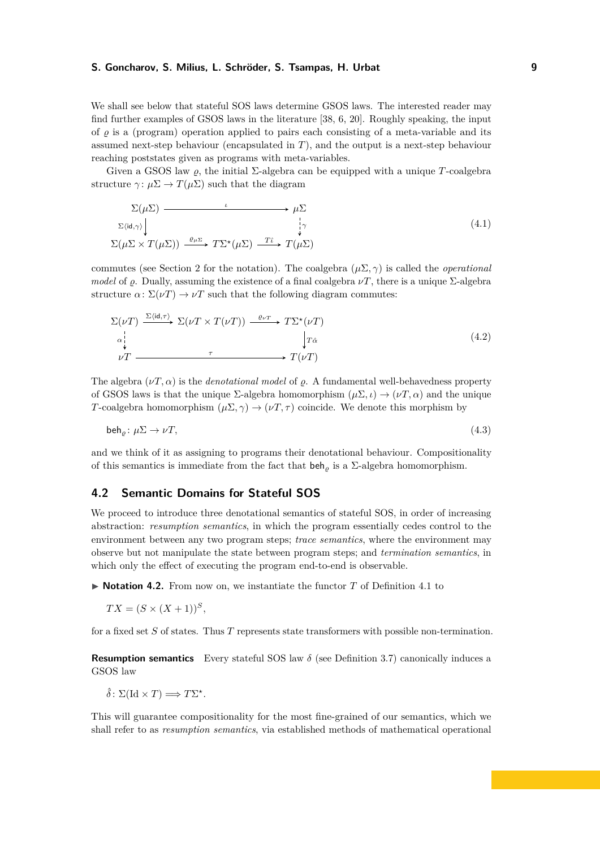We shall see below that stateful SOS laws determine GSOS laws. The interested reader may find further examples of GSOS laws in the literature [\[38,](#page-18-10) [6,](#page-16-2) [20\]](#page-17-9). Roughly speaking, the input of *ϱ* is a (program) operation applied to pairs each consisting of a meta-variable and its assumed next-step behaviour (encapsulated in *T*), and the output is a next-step behaviour reaching poststates given as programs with meta-variables.

Given a GSOS law  $\rho$ , the initial  $\Sigma$ -algebra can be equipped with a unique *T*-coalgebra structure  $\gamma: \mu \Sigma \to T(\mu \Sigma)$  such that the diagram

<span id="page-8-0"></span>
$$
\Sigma(\mu\Sigma) \longrightarrow \mu\Sigma
$$
  
\n
$$
\Sigma(i\mathbf{d},\gamma) \downarrow \qquad \qquad \downarrow \gamma
$$
  
\n
$$
\Sigma(\mu\Sigma \times T(\mu\Sigma)) \xrightarrow{\varrho_{\mu\Sigma}} T\Sigma^{\star}(\mu\Sigma) \xrightarrow{T\hat{\iota}} T(\mu\Sigma)
$$
\n(4.1)

commutes (see [Section 2](#page-3-0) for the notation). The coalgebra  $(\mu\Sigma, \gamma)$  is called the *operational model* of  $\rho$ . Dually, assuming the existence of a final coalgebra  $\nu T$ , there is a unique Σ-algebra structure  $\alpha \colon \Sigma(\nu) \to \nu$  such that the following diagram commutes:

<span id="page-8-2"></span>
$$
\Sigma(\nu T) \xrightarrow{\Sigma(\text{id}, \tau)} \Sigma(\nu T \times T(\nu T)) \xrightarrow{\varrho_{\nu T}} T\Sigma^{\star}(\nu T)
$$
\n
$$
\downarrow_{\mathcal{T}\hat{\alpha}} \qquad \qquad \downarrow_{\mathcal{T}\hat{\alpha}} \qquad \qquad \downarrow_{\mathcal{T}} \qquad (4.2)
$$
\n
$$
\nu T \xrightarrow{\tau} \qquad \qquad \tau \qquad \qquad \to T(\nu T)
$$

The algebra  $(\nu T, \alpha)$  is the *denotational model* of  $\rho$ *.* A fundamental well-behavedness property of GSOS laws is that the unique  $\Sigma$ -algebra homomorphism  $(\mu \Sigma, \iota) \to (\nu T, \alpha)$  and the unique *T*-coalgebra homomorphism  $(\mu \Sigma, \gamma) \rightarrow (\nu T, \tau)$  coincide. We denote this morphism by

<span id="page-8-1"></span>
$$
\mathsf{beh}_{\varrho} \colon \mu \Sigma \to \nu T,\tag{4.3}
$$

and we think of it as assigning to programs their denotational behaviour. Compositionality of this semantics is immediate from the fact that  $\mathsf{beh}_{\rho}$  is a  $\Sigma$ -algebra homomorphism.

### **4.2 Semantic Domains for Stateful SOS**

We proceed to introduce three denotational semantics of stateful SOS, in order of increasing abstraction: *resumption semantics*, in which the program essentially cedes control to the environment between any two program steps; *trace semantics*, where the environment may observe but not manipulate the state between program steps; and *termination semantics*, in which only the effect of executing the program end-to-end is observable.

▶ **Notation 4.2.** From now on, we instantiate the functor *T* of [Definition 4.1](#page-7-1) to

 $TX = (S \times (X + 1))^S$ 

for a fixed set *S* of states. Thus *T* represents state transformers with possible non-termination.

**Resumption semantics** Every stateful SOS law *δ* (see [Definition 3.7\)](#page-6-2) canonically induces a GSOS law

 $\hat{\delta}$ :  $\Sigma(\text{Id} \times T) \Longrightarrow T\Sigma^*$ .

This will guarantee compositionality for the most fine-grained of our semantics, which we shall refer to as *resumption semantics*, via established methods of mathematical operational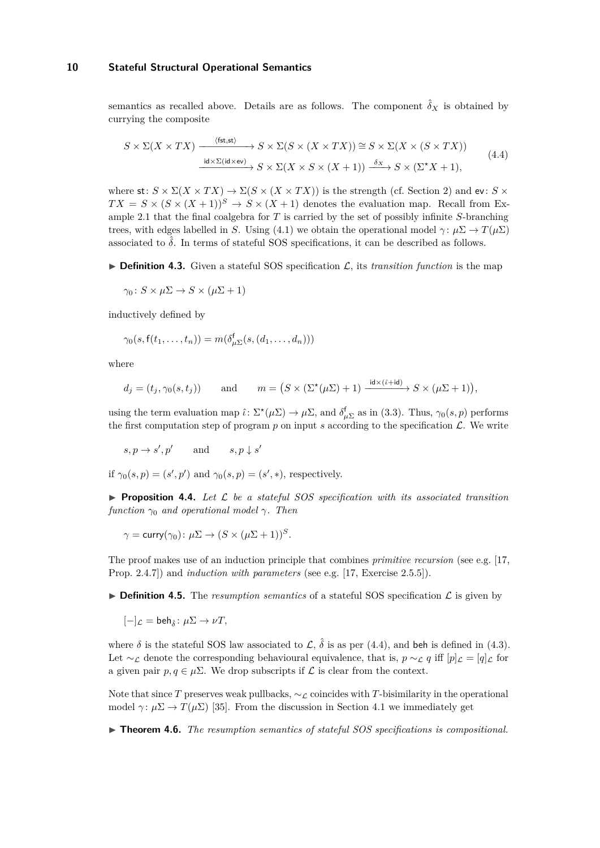semantics as recalled above. Details are as follows. The component  $\hat{\delta}_X$  is obtained by currying the composite

<span id="page-9-1"></span>
$$
S \times \Sigma(X \times TX) \xrightarrow{\langle \text{fst}, \text{st} \rangle} S \times \Sigma(S \times (X \times TX)) \cong S \times \Sigma(X \times (S \times TX))
$$
\n
$$
\xrightarrow{\text{id} \times \Sigma(\text{id} \times \text{ev})} S \times \Sigma(X \times S \times (X + 1)) \xrightarrow{\delta_X} S \times (\Sigma^* X + 1),
$$
\n
$$
(4.4)
$$

where  $st: S \times \Sigma(X \times TX) \rightarrow \Sigma(S \times (X \times TX))$  is the strength (cf. [Section 2\)](#page-3-0) and ev: *S* ×  $TX = S \times (S \times (X+1))^S \rightarrow S \times (X+1)$  denotes the evaluation map. Recall from [Ex](#page-0-0)[ample 2.1](#page-0-0) that the final coalgebra for *T* is carried by the set of possibly infinite *S*-branching trees, with edges labelled in *S*. Using [\(4.1\)](#page-8-0) we obtain the operational model  $\gamma$ :  $\mu\Sigma \to T(\mu\Sigma)$ associated to  $\hat{\delta}$ . In terms of stateful SOS specifications, it can be described as follows.

<span id="page-9-3"></span> $\triangleright$  **Definition 4.3.** Given a stateful SOS specification  $\mathcal{L}$ , its *transition function* is the map

 $\gamma_0$ :  $S \times \mu \Sigma \rightarrow S \times (\mu \Sigma + 1)$ 

inductively defined by

$$
\gamma_0(s, f(t_1, \ldots, t_n)) = m(\delta_{\mu \Sigma}^f(s, (d_1, \ldots, d_n)))
$$

where

$$
d_j = (t_j, \gamma_0(s, t_j))
$$
 and  $m = (S \times (\Sigma^*(\mu\Sigma) + 1) \xrightarrow{\mathrm{id} \times (\hat{\iota} + \mathrm{id})} S \times (\mu\Sigma + 1)),$ 

using the term evaluation map  $\hat{\iota}: \Sigma^*(\mu\Sigma) \to \mu\Sigma$ , and  $\delta_{\mu\Sigma}^{\mathsf{f}}$  as in [\(3.3\)](#page-6-3). Thus,  $\gamma_0(s, p)$  performs the first computation step of program  $p$  on input  $s$  according to the specification  $\mathcal{L}$ . We write

$$
s, p \to s', p' \qquad \text{and} \qquad s, p \downarrow s'
$$

if  $\gamma_0(s, p) = (s', p')$  and  $\gamma_0(s, p) = (s', \ast)$ , respectively.

<span id="page-9-2"></span>▶ **Proposition 4.4.** *Let* L *be a stateful SOS specification with its associated transition function γ*<sup>0</sup> *and operational model γ. Then*

$$
\gamma = \text{curry}(\gamma_0) \colon \mu \Sigma \to (S \times (\mu \Sigma + 1))^S.
$$

The proof makes use of an induction principle that combines *primitive recursion* (see e.g. [\[17,](#page-17-10) Prop. 2.4.7]) and *induction with parameters* (see e.g. [\[17,](#page-17-10) Exercise 2.5.5]).

 $\triangleright$  **Definition 4.5.** The *resumption semantics* of a stateful SOS specification  $\mathcal{L}$  is given by

$$
[-]_{\mathcal{L}} = \mathsf{beh}_{\hat{\delta}} \colon \mu \Sigma \to \nu T,
$$

where  $\delta$  is the stateful SOS law associated to  $\mathcal{L}$ ,  $\hat{\delta}$  is as per [\(4.4\)](#page-9-1), and beh is defined in [\(4.3\)](#page-8-1). Let  $\sim_{\mathcal{L}}$  denote the corresponding behavioural equivalence, that is, *p*  $\sim_{\mathcal{L}} q$  iff  $[p]_{\mathcal{L}} = [q]_{\mathcal{L}}$  for a given pair  $p, q \in \mu\Sigma$ . We drop subscripts if  $\mathcal L$  is clear from the context.

Note that since *T* preserves weak pullbacks, ∼c coincides with *T*-bisimilarity in the operational model  $\gamma: \mu \Sigma \to T(\mu \Sigma)$  [\[35\]](#page-18-11). From the discussion in [Section 4.1](#page-7-2) we immediately get

<span id="page-9-0"></span>▶ **Theorem 4.6.** *The resumption semantics of stateful SOS specifications is compositional.*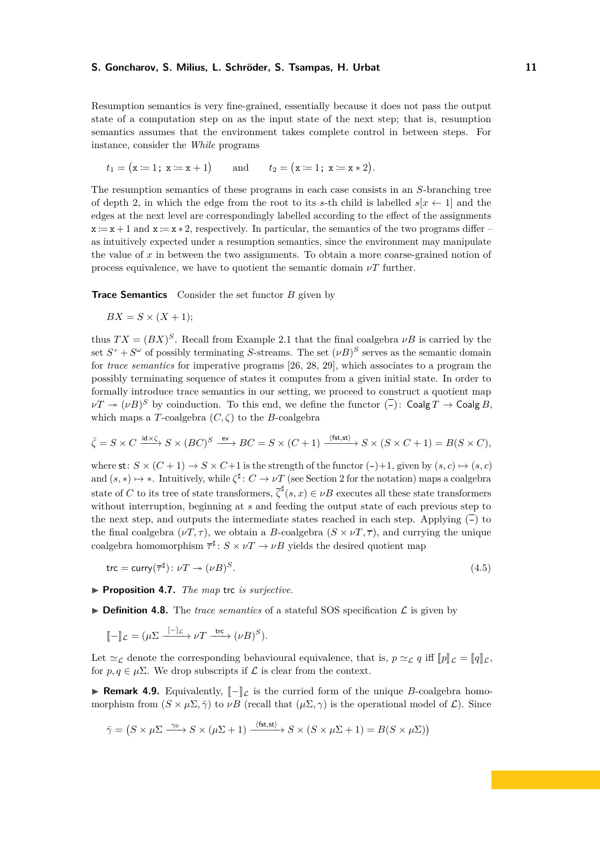Resumption semantics is very fine-grained, essentially because it does not pass the output state of a computation step on as the input state of the next step; that is, resumption semantics assumes that the environment takes complete control in between steps. For instance, consider the *While* programs

$$
t_1 = (\mathbf{x} := 1; \mathbf{x} := \mathbf{x} + 1)
$$
 and  $t_2 = (\mathbf{x} := 1; \mathbf{x} := \mathbf{x} * 2).$ 

The resumption semantics of these programs in each case consists in an *S*-branching tree of depth 2, in which the edge from the root to its *s*-th child is labelled  $s[x \leftarrow 1]$  and the edges at the next level are correspondingly labelled according to the effect of the assignments  $x := x + 1$  and  $x := x * 2$ , respectively. In particular, the semantics of the two programs differ as intuitively expected under a resumption semantics, since the environment may manipulate the value of *x* in between the two assignments. To obtain a more coarse-grained notion of process equivalence, we have to quotient the semantic domain  $\nu T$  further.

**Trace Semantics** Consider the set functor *B* given by

$$
BX = S \times (X + 1);
$$

thus  $TX = (BX)^S$ . Recall from [Example 2.1](#page-0-0) that the final coalgebra  $\nu B$  is carried by the set  $S^+ + S^{\omega}$  of possibly terminating *S*-streams. The set  $(\nu B)^S$  serves as the semantic domain for *trace semantics* for imperative programs [\[26,](#page-17-4) [28,](#page-18-4) [29\]](#page-18-5), which associates to a program the possibly terminating sequence of states it computes from a given initial state. In order to formally introduce trace semantics in our setting, we proceed to construct a quotient map  $\nu T \twoheadrightarrow (\nu B)^S$  by coinduction. To this end, we define the functor  $\overline{(-)}$ : Coalg  $T \rightarrow$  Coalg *B*, which maps a *T*-coalgebra  $(C, \zeta)$  to the *B*-coalgebra

$$
\bar{\zeta} = S \times C \xrightarrow{\text{id} \times \zeta} S \times (BC)^S \xrightarrow{\text{ev}} BC = S \times (C+1) \xrightarrow{\langle \text{fst,st} \rangle} S \times (S \times C+1) = B(S \times C),
$$

where  $st: S \times (C + 1) \rightarrow S \times C + 1$  is the strength of the functor  $(-)+1$ , given by  $(s, c) \mapsto (s, c)$ and  $(s, *) \mapsto *$ . Intuitively, while  $\zeta^{\sharp}: C \to \nu T$  (see [Section 2](#page-3-0) for the notation) maps a coalgebra state of *C* to its tree of state transformers,  $\overline{\zeta}^{\sharp}(s,x) \in \nu B$  executes all these state transformers without interruption, beginning at *s* and feeding the output state of each previous step to the next step, and outputs the intermediate states reached in each step. Applying  $\overline{(-)}$  to the final coalgebra  $(\nu T, \tau)$ , we obtain a *B*-coalgebra  $(S \times \nu T, \overline{\tau})$ , and currying the unique coalgebra homomorphism  $\overline{\tau}^{\sharp}$ :  $S \times \nu T \rightarrow \nu B$  yields the desired quotient map

$$
\text{trc} = \text{curry}(\overline{\tau}^{\sharp}) \colon \nu T \to (\nu B)^S. \tag{4.5}
$$

<span id="page-10-0"></span>▶ **Proposition 4.7.** *The map* trc *is surjective.*

 $\triangleright$  **Definition 4.8.** The *trace semantics* of a stateful SOS specification  $\mathcal{L}$  is given by

$$
[\![-]\!]_{\mathcal{L}} = (\mu \Sigma \xrightarrow{[-]_{\mathcal{L}}} \nu T \xrightarrow{\text{trc}} (\nu B)^S).
$$

Let  $\simeq_{\mathcal{L}}$  denote the corresponding behavioural equivalence, that is,  $p \simeq_{\mathcal{L}} q$  iff  $[p]_{\mathcal{L}} = [q]_{\mathcal{L}}$ , for  $p, q \in \mu\Sigma$ . We drop subscripts if  $\mathcal L$  is clear from the context.

**► Remark 4.9.** Equivalently,  $\llbracket - \rrbracket_{\mathcal{L}}$  is the curried form of the unique *B*-coalgebra homomorphism from  $(S \times \mu\Sigma, \overline{\gamma})$  to  $\nu B$  (recall that  $(\mu\Sigma, \gamma)$  is the operational model of  $\mathcal{L}$ ). Since

$$
\bar{\gamma} = (S \times \mu\Sigma \xrightarrow{\gamma_0} S \times (\mu\Sigma + 1) \xrightarrow{\langle \text{fst}, \text{st} \rangle} S \times (S \times \mu\Sigma + 1) = B(S \times \mu\Sigma))
$$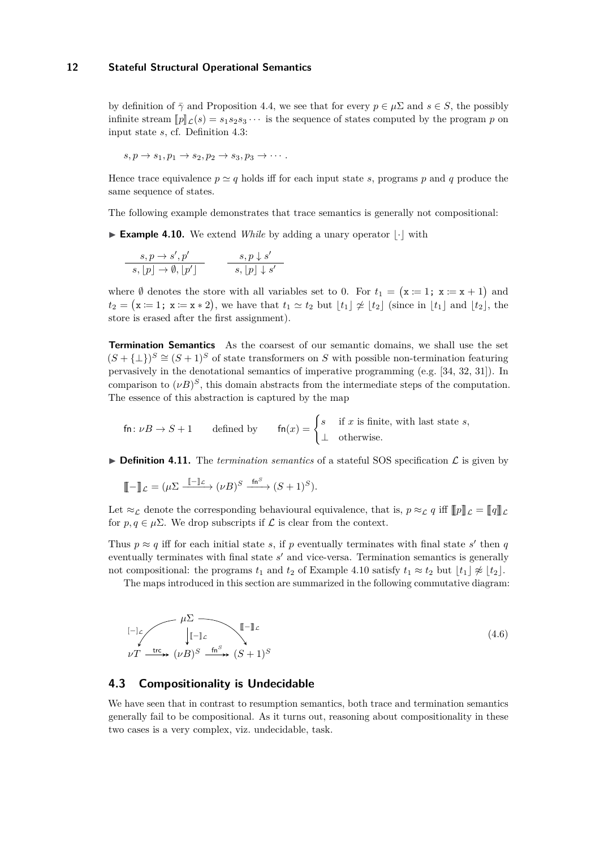by definition of  $\bar{\gamma}$  and [Proposition 4.4,](#page-9-2) we see that for every  $p \in \mu \Sigma$  and  $s \in S$ , the possibly infinite stream  $[p]_c(s) = s_1 s_2 s_3 \cdots$  is the sequence of states computed by the program p on input state *s*, cf. [Definition 4.3:](#page-9-3)

$$
s, p \to s_1, p_1 \to s_2, p_2 \to s_3, p_3 \to \cdots.
$$

Hence trace equivalence  $p \simeq q$  holds iff for each input state *s*, programs *p* and *q* produce the same sequence of states.

The following example demonstrates that trace semantics is generally not compositional:

<span id="page-11-0"></span>▶ **Example 4.10.** We extend *While* by adding a unary operator  $|·|$  with

$$
\frac{s,p\to s',p'}{s,\,[p]\to \emptyset,\,[p']} \qquad \frac{s,p\downarrow s'}{s,\,[p]\downarrow s'}
$$

where  $\emptyset$  denotes the store with all variables set to 0. For  $t_1 = (\mathbf{x} \coloneqq 1; \mathbf{x} \coloneqq \mathbf{x} + 1)$  and  $t_2 = (\mathbf{x} := 1; \mathbf{x} := \mathbf{x} * 2)$ , we have that  $t_1 \simeq t_2$  but  $\lfloor t_1 \rfloor \not\approx \lfloor t_2 \rfloor$  (since in  $\lfloor t_1 \rfloor$  and  $\lfloor t_2 \rfloor$ , the store is erased after the first assignment).

**Termination Semantics** As the coarsest of our semantic domains, we shall use the set  $(S + {\{\perp}\})^S \cong (S + 1)^S$  of state transformers on *S* with possible non-termination featuring pervasively in the denotational semantics of imperative programming (e.g. [\[34,](#page-18-6) [32,](#page-18-7) [31\]](#page-18-8)). In comparison to  $(\nu B)^S$ , this domain abstracts from the intermediate steps of the computation. The essence of this abstraction is captured by the map

$$
\text{fn}: \nu B \to S + 1 \qquad \text{defined by} \qquad \text{fn}(x) = \begin{cases} s & \text{if } x \text{ is finite, with last state } s, \\ \bot & \text{otherwise.} \end{cases}
$$

 $\triangleright$  **Definition 4.11.** The *termination semantics* of a stateful SOS specification  $\mathcal{L}$  is given by

$$
\mathbb{I} - \mathbb{I}\mathbb{L} = (\mu \Sigma \xrightarrow{\mathbb{I} - \mathbb{L}\mathbb{L}} (\nu B)^S \xrightarrow{\text{fn}^S} (S+1)^S).
$$

Let  $\approx_{\mathcal{L}}$  denote the corresponding behavioural equivalence, that is,  $p \approx_{\mathcal{L}} q$  iff  $[\![p]\!]_{\mathcal{L}} = [\![q]\!]_{\mathcal{L}}$ for  $p, q \in \mu\Sigma$ . We drop subscripts if  $\mathcal L$  is clear from the context.

Thus  $p \approx q$  iff for each initial state *s*, if *p* eventually terminates with final state *s'* then *q* eventually terminates with final state s' and vice-versa. Termination semantics is generally not compositional: the programs  $t_1$  and  $t_2$  of [Example 4.10](#page-11-0) satisfy  $t_1 \approx t_2$  but  $|t_1| \not\approx |t_2|$ .

The maps introduced in this section are summarized in the following commutative diagram:

*µ*Σ *νT* (*νB*) *<sup>S</sup>* (*S* + 1)*<sup>S</sup>* [−]<sup>L</sup> <sup>J</sup>−K<sup>L</sup> JJ−KK<sup>L</sup> trc fn*<sup>S</sup>* (4.6)

### **4.3 Compositionality is Undecidable**

We have seen that in contrast to resumption semantics, both trace and termination semantics generally fail to be compositional. As it turns out, reasoning about compositionality in these two cases is a very complex, viz. undecidable, task.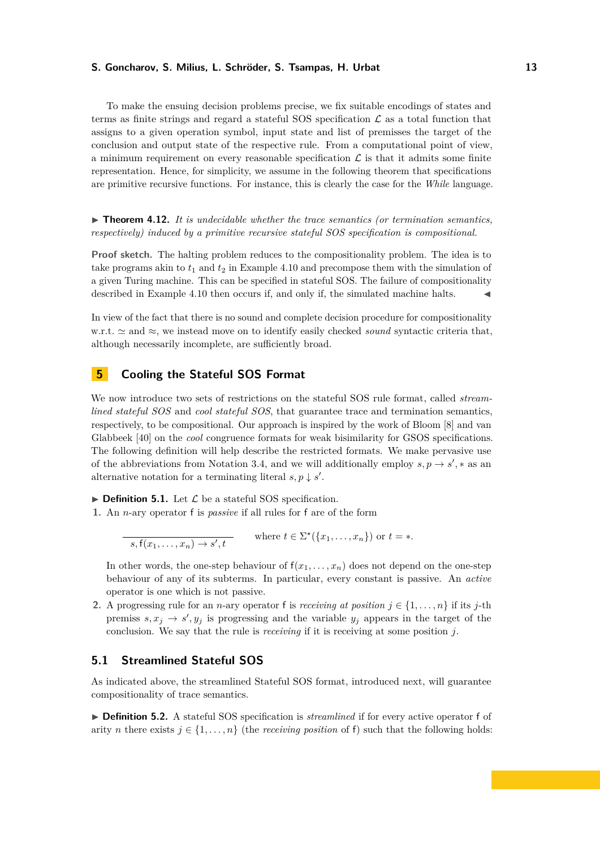To make the ensuing decision problems precise, we fix suitable encodings of states and terms as finite strings and regard a stateful SOS specification  $\mathcal L$  as a total function that assigns to a given operation symbol, input state and list of premisses the target of the conclusion and output state of the respective rule. From a computational point of view, a minimum requirement on every reasonable specification  $\mathcal L$  is that it admits some finite representation. Hence, for simplicity, we assume in the following theorem that specifications are primitive recursive functions. For instance, this is clearly the case for the *While* language.

<span id="page-12-2"></span>▶ **Theorem 4.12.** *It is undecidable whether the trace semantics (or termination semantics, respectively) induced by a primitive recursive stateful SOS specification is compositional.*

**Proof sketch.** The halting problem reduces to the compositionality problem. The idea is to take programs akin to  $t_1$  and  $t_2$  in [Example 4.10](#page-11-0) and precompose them with the simulation of a given Turing machine. This can be specified in stateful SOS. The failure of compositionality described in [Example 4.10](#page-11-0) then occurs if, and only if, the simulated machine halts. ◀

In view of the fact that there is no sound and complete decision procedure for compositionality w.r.t. ≃ and ≈, we instead move on to identify easily checked *sound* syntactic criteria that, although necessarily incomplete, are sufficiently broad.

# **5 Cooling the Stateful SOS Format**

We now introduce two sets of restrictions on the stateful SOS rule format, called *streamlined stateful SOS* and *cool stateful SOS*, that guarantee trace and termination semantics, respectively, to be compositional. Our approach is inspired by the work of Bloom [\[8\]](#page-16-1) and van Glabbeek [\[40\]](#page-18-0) on the *cool* congruence formats for weak bisimilarity for GSOS specifications. The following definition will help describe the restricted formats. We make pervasive use of the abbreviations from [Notation 3.4,](#page-5-0) and we will additionally employ  $s, p \rightarrow s'$ ,  $*$  as an alternative notation for a terminating literal  $s, p \downarrow s'$ .

 $\triangleright$  **Definition 5.1.** Let  $\mathcal{L}$  be a stateful SOS specification.

**1.** An *n*-ary operator f is *passive* if all rules for f are of the form

$$
\overline{s, f(x_1, \ldots, x_n) \to s', t}
$$
 where  $t \in \Sigma^*(\{x_1, \ldots, x_n\})$  or  $t = *$ .

In other words, the one-step behaviour of  $f(x_1, \ldots, x_n)$  does not depend on the one-step behaviour of any of its subterms. In particular, every constant is passive. An *active* operator is one which is not passive.

**2.** A progressing rule for an *n*-ary operator f is *receiving at position*  $j \in \{1, ..., n\}$  if its *j*-th premiss  $s, x_j \rightarrow s', y_j$  is progressing and the variable  $y_j$  appears in the target of the conclusion. We say that the rule is *receiving* if it is receiving at some position *j*.

# <span id="page-12-1"></span>**5.1 Streamlined Stateful SOS**

As indicated above, the streamlined Stateful SOS format, introduced next, will guarantee compositionality of trace semantics.

<span id="page-12-0"></span>▶ **Definition 5.2.** A stateful SOS specification is *streamlined* if for every active operator f of arity *n* there exists  $j \in \{1, \ldots, n\}$  (the *receiving position* of f) such that the following holds: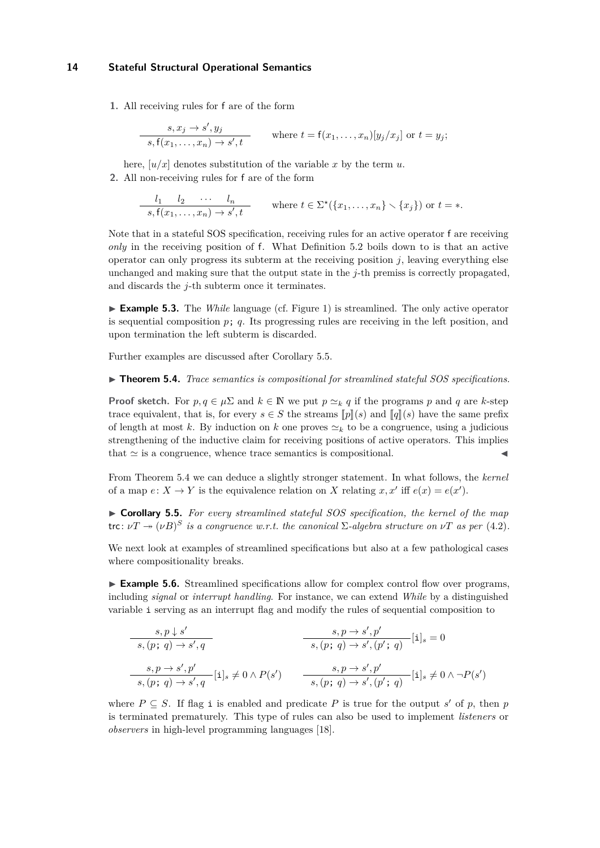**1.** All receiving rules for f are of the form

$$
\frac{s, x_j \to s', y_j}{s, f(x_1, \ldots, x_n) \to s', t}
$$
 where  $t = f(x_1, \ldots, x_n)[y_j/x_j]$  or  $t = y_j$ ;

here,  $[u/x]$  denotes substitution of the variable x by the term  $u$ .

**2.** All non-receiving rules for f are of the form

$$
\frac{l_1 \quad l_2 \quad \cdots \quad l_n}{s, f(x_1, \ldots, x_n) \to s', t} \qquad \text{where } t \in \Sigma^{\star}(\{x_1, \ldots, x_n\} \setminus \{x_j\}) \text{ or } t = \ast.
$$

Note that in a stateful SOS specification, receiving rules for an active operator f are receiving *only* in the receiving position of f. What [Definition 5.2](#page-12-0) boils down to is that an active operator can only progress its subterm at the receiving position *j*, leaving everything else unchanged and making sure that the output state in the *j*-th premiss is correctly propagated, and discards the *j*-th subterm once it terminates.

<span id="page-13-2"></span>▶ **Example 5.3.** The *While* language (cf. [Figure 1\)](#page-6-0) is streamlined. The only active operator is sequential composition *p*; *q*. Its progressing rules are receiving in the left position, and upon termination the left subterm is discarded.

Further examples are discussed after [Corollary 5.5.](#page-13-0)

<span id="page-13-1"></span>▶ **Theorem 5.4.** *Trace semantics is compositional for streamlined stateful SOS specifications.* 

**Proof sketch.** For  $p, q \in \mu\Sigma$  and  $k \in \mathbb{N}$  we put  $p \simeq_k q$  if the programs  $p$  and  $q$  are  $k$ -step trace equivalent, that is, for every  $s \in S$  the streams  $\llbracket p \rrbracket(s)$  and  $\llbracket q \rrbracket(s)$  have the same prefix of length at most *k*. By induction on *k* one proves  $\simeq_k$  to be a congruence, using a judicious strengthening of the inductive claim for receiving positions of active operators. This implies that  $\simeq$  is a congruence, whence trace semantics is compositional.

From [Theorem 5.4](#page-13-1) we can deduce a slightly stronger statement. In what follows, the *kernel* of a map  $e: X \to Y$  is the equivalence relation on *X* relating  $x, x'$  iff  $e(x) = e(x')$ .

<span id="page-13-0"></span>▶ **Corollary 5.5.** *For every streamlined stateful SOS specification, the kernel of the map*  $\text{trc: } \nu T \rightarrow (\nu B)^S$  is a congruence w.r.t. the canonical  $\Sigma$ -algebra structure on  $\nu T$  as per [\(4.2\)](#page-8-2).

We next look at examples of streamlined specifications but also at a few pathological cases where compositionality breaks.

<span id="page-13-3"></span>▶ **Example 5.6.** Streamlined specifications allow for complex control flow over programs, including *signal* or *interrupt handling*. For instance, we can extend *While* by a distinguished variable i serving as an interrupt flag and modify the rules of sequential composition to

$$
\begin{array}{c}\ns, p \downarrow s' \\
\hline\ns, (p; q) \rightarrow s', q\n\end{array}\n\qquad\n\begin{array}{c}\ns, p \rightarrow s', p' \\
\hline\ns, (p; q) \rightarrow s', (p'; q)\n\end{array}\n\begin{array}{c}\n\text{is a constant}\n\\
\hline\ns, (p; q) \rightarrow s', (p'; q)\n\end{array}\n\begin{array}{c}\n\text{is a constant}\n\\
\hline\ns, (p; q) \rightarrow s', (p'; q)\n\end{array}\n\begin{array}{c}\n\text{is a constant}\n\\
\hline\ns, (p; q) \rightarrow s', (p'; q)\n\end{array}\n\begin{array}{c}\n\text{is a constant}\n\\
\hline\n\end{array}
$$

where  $P \subseteq S$ . If flag i is enabled and predicate P is true for the output *s'* of p, then p is terminated prematurely. This type of rules can also be used to implement *listeners* or *observers* in high-level programming languages [\[18\]](#page-17-11).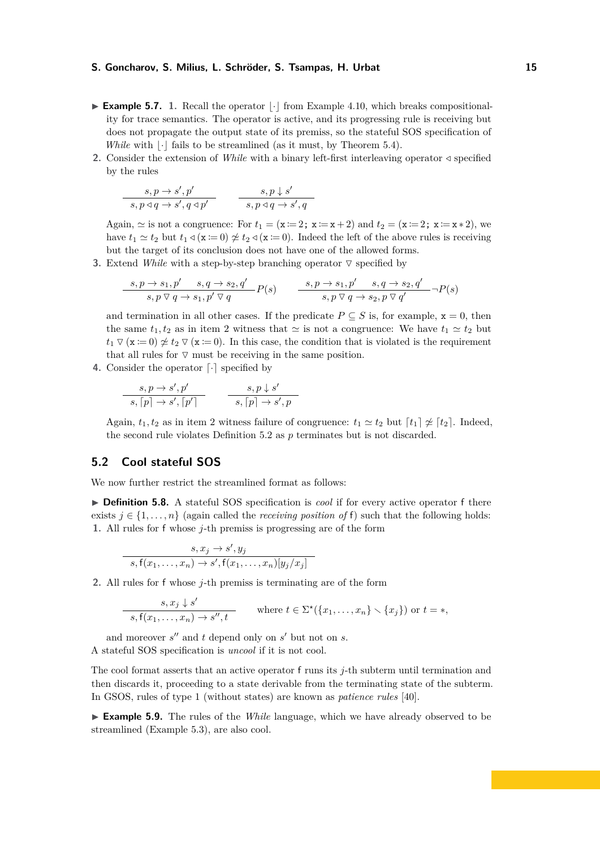- ▶ **Example 5.7.** 1. Recall the operator |  $\cdot$  | from [Example 4.10,](#page-11-0) which breaks compositionality for trace semantics. The operator is active, and its progressing rule is receiving but does not propagate the output state of its premiss, so the stateful SOS specification of *While* with  $|\cdot|$  fails to be streamlined (as it must, by [Theorem 5.4\)](#page-13-1).
- <span id="page-14-0"></span>**2.** Consider the extension of *While* with a binary left-first interleaving operator *◁* specified by the rules

$$
\frac{s, p \to s', p'}{s, p \triangleleft q \to s', q \triangleleft p'}
$$
\n
$$
\frac{s, p \downarrow s'}{s, p \triangleleft q \to s', q}
$$

Again,  $\simeq$  is not a congruence: For  $t_1 = (\mathbf{x} := 2; \mathbf{x} := \mathbf{x} + 2)$  and  $t_2 = (\mathbf{x} := 2; \mathbf{x} := \mathbf{x} * 2)$ , we have  $t_1 \simeq t_2$  but  $t_1 \triangleleft (\mathbf{x} := 0) \not\cong t_2 \triangleleft (\mathbf{x} := 0)$ . Indeed the left of the above rules is receiving but the target of its conclusion does not have one of the allowed forms.

**3.** Extend *While* with a step-by-step branching operator  $\nabla$  specified by

$$
\frac{s, p \to s_1, p' \quad s, q \to s_2, q'}{s, p \lor q \to s_1, p' \lor q} P(s) \qquad \frac{s, p \to s_1, p' \quad s, q \to s_2, q'}{s, p \lor q \to s_2, p \lor q'} \neg P(s)
$$

and termination in all other cases. If the predicate  $P \subseteq S$  is, for example,  $x = 0$ , then the same  $t_1, t_2$  as in [item 2](#page-14-0) witness that  $\simeq$  is not a congruence: We have  $t_1 \simeq t_2$  but  $t_1 \triangledown (\mathbf{x} := 0) \not\cong t_2 \triangledown (\mathbf{x} := 0)$ . In this case, the condition that is violated is the requirement that all rules for  $\nabla$  must be receiving in the same position.

**4.** Consider the operator  $\lceil \cdot \rceil$  specified by

$$
\frac{s, p \to s', p'}{s, [p] \to s', [p']} \qquad \frac{s, p \downarrow s'}{s, [p] \to s', p}
$$

Again,  $t_1, t_2$  as in [item 2](#page-14-0) witness failure of congruence:  $t_1 \simeq t_2$  but  $[t_1] \not\approx [t_2]$ . Indeed, the second rule violates [Definition 5.2](#page-12-0) as *p* terminates but is not discarded.

# **5.2 Cool stateful SOS**

We now further restrict the streamlined format as follows:

<span id="page-14-2"></span><span id="page-14-1"></span>▶ **Definition 5.8.** A stateful SOS specification is *cool* if for every active operator f there exists  $j \in \{1, \ldots, n\}$  (again called the *receiving position of* f) such that the following holds: **1.** All rules for f whose *j*-th premiss is progressing are of the form

$$
s, x_j \to s', y_j
$$

$$
s, f(x_1, \ldots, x_n) \to s', f(x_1, \ldots, x_n)[y_j/x_j]
$$

**2.** All rules for f whose *j*-th premiss is terminating are of the form

$$
\frac{s, x_j \downarrow s'}{s, f(x_1, \dots, x_n) \to s'', t} \quad \text{where } t \in \Sigma^{\star}(\{x_1, \dots, x_n\} \setminus \{x_j\}) \text{ or } t = *,
$$

and moreover  $s''$  and  $t$  depend only on  $s'$  but not on  $s$ . A stateful SOS specification is *uncool* if it is not cool.

The cool format asserts that an active operator f runs its *j*-th subterm until termination and then discards it, proceeding to a state derivable from the terminating state of the subterm. In GSOS, rules of type [1](#page-14-1) (without states) are known as *patience rules* [\[40\]](#page-18-0).

▶ **Example 5.9.** The rules of the *While* language, which we have already observed to be streamlined [\(Example 5.3\)](#page-13-2), are also cool.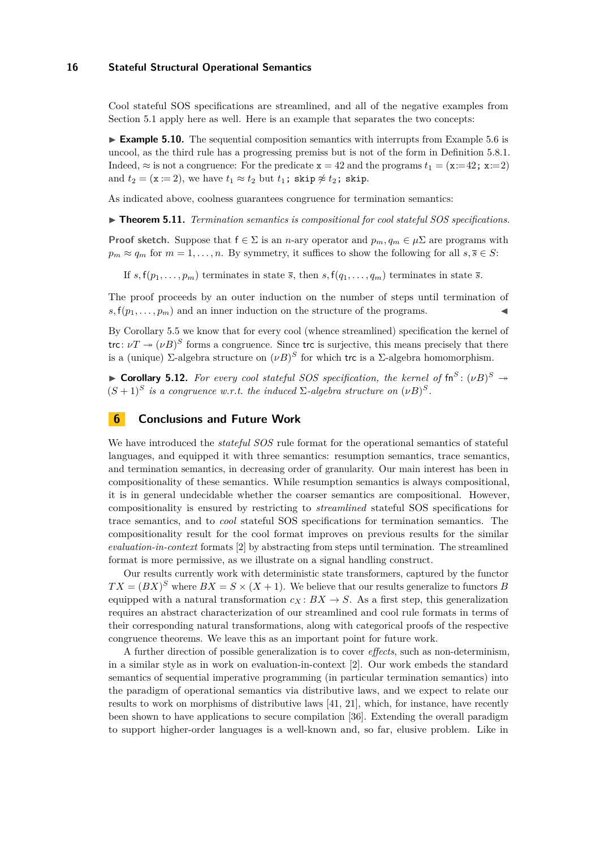Cool stateful SOS specifications are streamlined, and all of the negative examples from [Section 5.1](#page-12-1) apply here as well. Here is an example that separates the two concepts:

▶ **Example 5.10.** The sequential composition semantics with interrupts from [Example 5.6](#page-13-3) is uncool, as the third rule has a progressing premiss but is not of the form in [Definition 5.8.](#page-14-2)[1.](#page-14-1) Indeed,  $\approx$  is not a congruence: For the predicate  $x = 42$  and the programs  $t_1 = (x:=42; x:=2)$ and  $t_2 = (\mathbf{x} \coloneqq 2)$ , we have  $t_1 \approx t_2$  but  $t_1$ ; skip  $\not\approx t_2$ ; skip.

As indicated above, coolness guarantees congruence for termination semantics:

<span id="page-15-0"></span>▶ **Theorem 5.11.** *Termination semantics is compositional for cool stateful SOS specifications.*

**Proof sketch.** Suppose that  $f \in \Sigma$  is an *n*-ary operator and  $p_m, q_m \in \mu\Sigma$  are programs with  $p_m \approx q_m$  for  $m = 1, \ldots, n$ . By symmetry, it suffices to show the following for all  $s, \overline{s} \in S$ :

If  $s, f(p_1, \ldots, p_m)$  terminates in state  $\overline{s}$ , then  $s, f(q_1, \ldots, q_m)$  terminates in state  $\overline{s}$ .

The proof proceeds by an outer induction on the number of steps until termination of  $s, f(p_1, \ldots, p_m)$  and an inner induction on the structure of the programs.

By [Corollary 5.5](#page-13-0) we know that for every cool (whence streamlined) specification the kernel of trc:  $\nu T \rightarrow (\nu B)^S$  forms a congruence. Since trc is surjective, this means precisely that there is a (unique)  $\Sigma$ -algebra structure on  $(\nu B)^S$  for which trc is a  $\Sigma$ -algebra homomorphism.

<span id="page-15-1"></span>**Corollary 5.12.** For every cool stateful SOS specification, the kernel of  $\text{fn}^S$ :  $(\nu B)^S \rightarrow$  $(S+1)^S$  *is a congruence w.r.t. the induced*  $\Sigma$ -*algebra structure on*  $(\nu B)^S$ *.* 

# **6 Conclusions and Future Work**

We have introduced the *stateful SOS* rule format for the operational semantics of stateful languages, and equipped it with three semantics: resumption semantics, trace semantics, and termination semantics, in decreasing order of granularity. Our main interest has been in compositionality of these semantics. While resumption semantics is always compositional, it is in general undecidable whether the coarser semantics are compositional. However, compositionality is ensured by restricting to *streamlined* stateful SOS specifications for trace semantics, and to *cool* stateful SOS specifications for termination semantics. The compositionality result for the cool format improves on previous results for the similar *evaluation-in-context* formats [\[2\]](#page-16-5) by abstracting from steps until termination. The streamlined format is more permissive, as we illustrate on a signal handling construct.

Our results currently work with deterministic state transformers, captured by the functor  $TX = (BX)^S$  where  $BX = S \times (X + 1)$ . We believe that our results generalize to functors *B* equipped with a natural transformation  $c_X : BX \to S$ . As a first step, this generalization requires an abstract characterization of our streamlined and cool rule formats in terms of their corresponding natural transformations, along with categorical proofs of the respective congruence theorems. We leave this as an important point for future work.

A further direction of possible generalization is to cover *effects*, such as non-determinism, in a similar style as in work on evaluation-in-context [\[2\]](#page-16-5). Our work embeds the standard semantics of sequential imperative programming (in particular termination semantics) into the paradigm of operational semantics via distributive laws, and we expect to relate our results to work on morphisms of distributive laws [\[41,](#page-18-12) [21\]](#page-17-12), which, for instance, have recently been shown to have applications to secure compilation [\[36\]](#page-18-13). Extending the overall paradigm to support higher-order languages is a well-known and, so far, elusive problem. Like in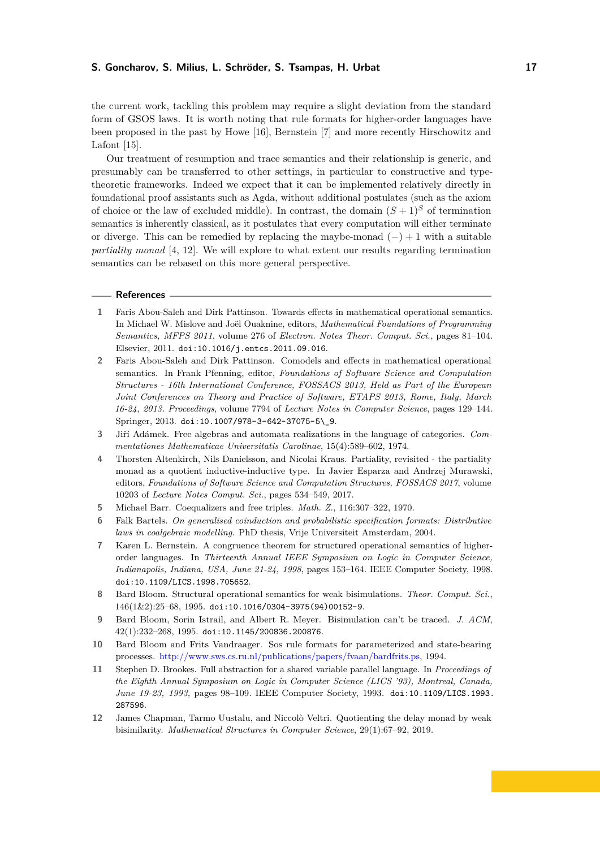the current work, tackling this problem may require a slight deviation from the standard form of GSOS laws. It is worth noting that rule formats for higher-order languages have been proposed in the past by Howe [\[16\]](#page-17-13), Bernstein [\[7\]](#page-16-8) and more recently Hirschowitz and Lafont [\[15\]](#page-17-14).

Our treatment of resumption and trace semantics and their relationship is generic, and presumably can be transferred to other settings, in particular to constructive and typetheoretic frameworks. Indeed we expect that it can be implemented relatively directly in foundational proof assistants such as Agda, without additional postulates (such as the axiom of choice or the law of excluded middle). In contrast, the domain  $(S+1)^S$  of termination semantics is inherently classical, as it postulates that every computation will either terminate or diverge. This can be remedied by replacing the maybe-monad  $(-) + 1$  with a suitable *partiality monad* [\[4,](#page-16-9) [12\]](#page-16-10). We will explore to what extent our results regarding termination semantics can be rebased on this more general perspective.

#### **References**

- <span id="page-16-4"></span>**1** Faris Abou-Saleh and Dirk Pattinson. Towards effects in mathematical operational semantics. In Michael W. Mislove and Joël Ouaknine, editors, *Mathematical Foundations of Programming Semantics, MFPS 2011*, volume 276 of *Electron. Notes Theor. Comput. Sci.*, pages 81–104. Elsevier, 2011. [doi:10.1016/j.entcs.2011.09.016](https://doi.org/10.1016/j.entcs.2011.09.016).
- <span id="page-16-5"></span>**2** Faris Abou-Saleh and Dirk Pattinson. Comodels and effects in mathematical operational semantics. In Frank Pfenning, editor, *Foundations of Software Science and Computation Structures - 16th International Conference, FOSSACS 2013, Held as Part of the European Joint Conferences on Theory and Practice of Software, ETAPS 2013, Rome, Italy, March 16-24, 2013. Proceedings*, volume 7794 of *Lecture Notes in Computer Science*, pages 129–144. Springer, 2013. [doi:10.1007/978-3-642-37075-5\\\_9](https://doi.org/10.1007/978-3-642-37075-5_9).
- <span id="page-16-11"></span>**3** Jiří Adámek. Free algebras and automata realizations in the language of categories. *Commentationes Mathematicae Universitatis Carolinae*, 15(4):589–602, 1974.
- <span id="page-16-9"></span>**4** Thorsten Altenkirch, Nils Danielsson, and Nicolai Kraus. Partiality, revisited - the partiality monad as a quotient inductive-inductive type. In Javier Esparza and Andrzej Murawski, editors, *Foundations of Software Science and Computation Structures, FOSSACS 2017*, volume 10203 of *Lecture Notes Comput. Sci.*, pages 534–549, 2017.
- <span id="page-16-7"></span>**5** Michael Barr. Coequalizers and free triples. *Math. Z.*, 116:307–322, 1970.
- <span id="page-16-2"></span>**6** Falk Bartels. *On generalised coinduction and probabilistic specification formats: Distributive laws in coalgebraic modelling*. PhD thesis, Vrije Universiteit Amsterdam, 2004.
- <span id="page-16-8"></span>**7** Karen L. Bernstein. A congruence theorem for structured operational semantics of higherorder languages. In *Thirteenth Annual IEEE Symposium on Logic in Computer Science, Indianapolis, Indiana, USA, June 21-24, 1998*, pages 153–164. IEEE Computer Society, 1998. [doi:10.1109/LICS.1998.705652](https://doi.org/10.1109/LICS.1998.705652).
- <span id="page-16-1"></span>**8** Bard Bloom. Structural operational semantics for weak bisimulations. *Theor. Comput. Sci.*,  $146(1&2):25-68, 1995.$ [doi:10.1016/0304-3975\(94\)00152-9](https://doi.org/10.1016/0304-3975(94)00152-9).
- <span id="page-16-0"></span>**9** Bard Bloom, Sorin Istrail, and Albert R. Meyer. Bisimulation can't be traced. *J. ACM*, 42(1):232–268, 1995. [doi:10.1145/200836.200876](https://doi.org/10.1145/200836.200876).
- <span id="page-16-6"></span>**10** Bard Bloom and Frits Vandraager. Sos rule formats for parameterized and state-bearing processes. [http://www.sws.cs.ru.nl/publications/papers/fvaan/bardfrits.ps,](http://www.sws.cs.ru.nl/publications/papers/fvaan/bardfrits.ps) 1994.
- <span id="page-16-3"></span>**11** Stephen D. Brookes. Full abstraction for a shared variable parallel language. In *Proceedings of the Eighth Annual Symposium on Logic in Computer Science (LICS '93), Montreal, Canada, June 19-23, 1993*, pages 98–109. IEEE Computer Society, 1993. [doi:10.1109/LICS.1993.](https://doi.org/10.1109/LICS.1993.287596) [287596](https://doi.org/10.1109/LICS.1993.287596).
- <span id="page-16-10"></span>**12** James Chapman, Tarmo Uustalu, and Niccolò Veltri. Quotienting the delay monad by weak bisimilarity. *Mathematical Structures in Computer Science*, 29(1):67–92, 2019.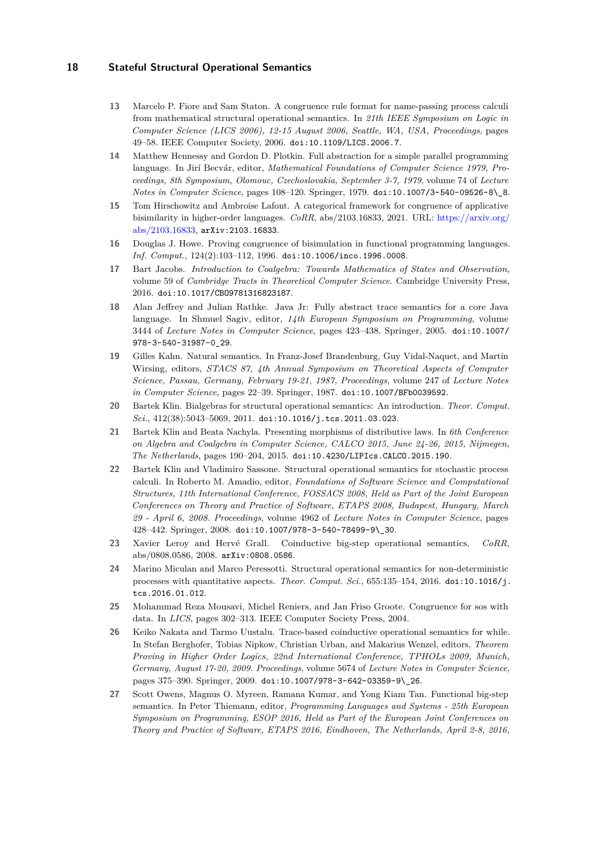- <span id="page-17-1"></span>**13** Marcelo P. Fiore and Sam Staton. A congruence rule format for name-passing process calculi from mathematical structural operational semantics. In *21th IEEE Symposium on Logic in Computer Science (LICS 2006), 12-15 August 2006, Seattle, WA, USA, Proceedings*, pages 49–58. IEEE Computer Society, 2006. [doi:10.1109/LICS.2006.7](https://doi.org/10.1109/LICS.2006.7).
- <span id="page-17-3"></span>**14** Matthew Hennessy and Gordon D. Plotkin. Full abstraction for a simple parallel programming language. In Jirí Becvár, editor, *Mathematical Foundations of Computer Science 1979, Proceedings, 8th Symposium, Olomouc, Czechoslovakia, September 3-7, 1979*, volume 74 of *Lecture Notes in Computer Science*, pages 108–120. Springer, 1979. [doi:10.1007/3-540-09526-8\\\_8](https://doi.org/10.1007/3-540-09526-8_8).
- <span id="page-17-14"></span>**15** Tom Hirschowitz and Ambroise Lafont. A categorical framework for congruence of applicative bisimilarity in higher-order languages. *CoRR*, abs/2103.16833, 2021. URL: [https://arxiv.org/](https://arxiv.org/abs/2103.16833) [abs/2103.16833,](https://arxiv.org/abs/2103.16833) [arXiv:2103.16833](http://arxiv.org/abs/2103.16833).
- <span id="page-17-13"></span>**16** Douglas J. Howe. Proving congruence of bisimulation in functional programming languages. *Inf. Comput.*, 124(2):103–112, 1996. [doi:10.1006/inco.1996.0008](https://doi.org/10.1006/inco.1996.0008).
- <span id="page-17-10"></span>**17** Bart Jacobs. *Introduction to Coalgebra: Towards Mathematics of States and Observation*, volume 59 of *Cambridge Tracts in Theoretical Computer Science*. Cambridge University Press, 2016. [doi:10.1017/CBO9781316823187](https://doi.org/10.1017/CBO9781316823187).
- <span id="page-17-11"></span>**18** Alan Jeffrey and Julian Rathke. Java Jr: Fully abstract trace semantics for a core Java language. In Shmuel Sagiv, editor, *14th European Symposium on Programming*, volume 3444 of *Lecture Notes in Computer Science*, pages 423–438. Springer, 2005. [doi:10.1007/](https://doi.org/10.1007/978-3-540-31987-0_29) [978-3-540-31987-0\\_29](https://doi.org/10.1007/978-3-540-31987-0_29).
- <span id="page-17-7"></span>**19** Gilles Kahn. Natural semantics. In Franz-Josef Brandenburg, Guy Vidal-Naquet, and Martin Wirsing, editors, *STACS 87, 4th Annual Symposium on Theoretical Aspects of Computer Science, Passau, Germany, February 19-21, 1987, Proceedings*, volume 247 of *Lecture Notes in Computer Science*, pages 22–39. Springer, 1987. [doi:10.1007/BFb0039592](https://doi.org/10.1007/BFb0039592).
- <span id="page-17-9"></span>**20** Bartek Klin. Bialgebras for structural operational semantics: An introduction. *Theor. Comput. Sci.*, 412(38):5043–5069, 2011. [doi:10.1016/j.tcs.2011.03.023](https://doi.org/10.1016/j.tcs.2011.03.023).
- <span id="page-17-12"></span>**21** Bartek Klin and Beata Nachyla. Presenting morphisms of distributive laws. In *6th Conference on Algebra and Coalgebra in Computer Science, CALCO 2015, June 24-26, 2015, Nijmegen, The Netherlands*, pages 190–204, 2015. [doi:10.4230/LIPIcs.CALCO.2015.190](https://doi.org/10.4230/LIPIcs.CALCO.2015.190).
- <span id="page-17-0"></span>**22** Bartek Klin and Vladimiro Sassone. Structural operational semantics for stochastic process calculi. In Roberto M. Amadio, editor, *Foundations of Software Science and Computational Structures, 11th International Conference, FOSSACS 2008, Held as Part of the Joint European Conferences on Theory and Practice of Software, ETAPS 2008, Budapest, Hungary, March 29 - April 6, 2008. Proceedings*, volume 4962 of *Lecture Notes in Computer Science*, pages 428–442. Springer, 2008. [doi:10.1007/978-3-540-78499-9\\\_30](https://doi.org/10.1007/978-3-540-78499-9_30).
- <span id="page-17-5"></span>**23** Xavier Leroy and Hervé Grall. Coinductive big-step operational semantics. *CoRR*, abs/0808.0586, 2008. [arXiv:0808.0586](http://arxiv.org/abs/0808.0586).
- <span id="page-17-2"></span>**24** Marino Miculan and Marco Peressotti. Structural operational semantics for non-deterministic processes with quantitative aspects. *Theor. Comput. Sci.*, 655:135–154, 2016. [doi:10.1016/j.](https://doi.org/10.1016/j.tcs.2016.01.012) [tcs.2016.01.012](https://doi.org/10.1016/j.tcs.2016.01.012).
- <span id="page-17-8"></span>**25** Mohammad Reza Mousavi, Michel Reniers, and Jan Friso Groote. Congruence for sos with data. In *LICS*, pages 302–313. IEEE Computer Society Press, 2004.
- <span id="page-17-4"></span>**26** Keiko Nakata and Tarmo Uustalu. Trace-based coinductive operational semantics for while. In Stefan Berghofer, Tobias Nipkow, Christian Urban, and Makarius Wenzel, editors, *Theorem Proving in Higher Order Logics, 22nd International Conference, TPHOLs 2009, Munich, Germany, August 17-20, 2009. Proceedings*, volume 5674 of *Lecture Notes in Computer Science*, pages 375–390. Springer, 2009. [doi:10.1007/978-3-642-03359-9\\\_26](https://doi.org/10.1007/978-3-642-03359-9_26).
- <span id="page-17-6"></span>**27** Scott Owens, Magnus O. Myreen, Ramana Kumar, and Yong Kiam Tan. Functional big-step semantics. In Peter Thiemann, editor, *Programming Languages and Systems - 25th European Symposium on Programming, ESOP 2016, Held as Part of the European Joint Conferences on Theory and Practice of Software, ETAPS 2016, Eindhoven, The Netherlands, April 2-8, 2016,*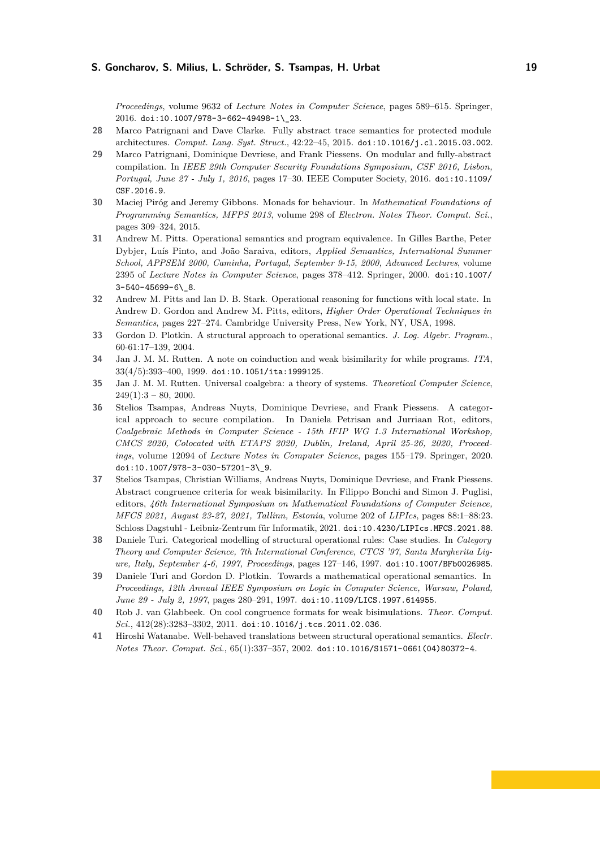*Proceedings*, volume 9632 of *Lecture Notes in Computer Science*, pages 589–615. Springer, 2016. [doi:10.1007/978-3-662-49498-1\\\_23](https://doi.org/10.1007/978-3-662-49498-1_23).

- <span id="page-18-4"></span>**28** Marco Patrignani and Dave Clarke. Fully abstract trace semantics for protected module architectures. *Comput. Lang. Syst. Struct.*, 42:22–45, 2015. [doi:10.1016/j.cl.2015.03.002](https://doi.org/10.1016/j.cl.2015.03.002).
- <span id="page-18-5"></span>**29** Marco Patrignani, Dominique Devriese, and Frank Piessens. On modular and fully-abstract compilation. In *IEEE 29th Computer Security Foundations Symposium, CSF 2016, Lisbon, Portugal, June 27 - July 1, 2016*, pages 17–30. IEEE Computer Society, 2016. [doi:10.1109/](https://doi.org/10.1109/CSF.2016.9) [CSF.2016.9](https://doi.org/10.1109/CSF.2016.9).
- <span id="page-18-3"></span>**30** Maciej Piróg and Jeremy Gibbons. Monads for behaviour. In *Mathematical Foundations of Programming Semantics, MFPS 2013*, volume 298 of *Electron. Notes Theor. Comput. Sci.*, pages 309–324, 2015.
- <span id="page-18-8"></span>**31** Andrew M. Pitts. Operational semantics and program equivalence. In Gilles Barthe, Peter Dybjer, Luís Pinto, and João Saraiva, editors, *Applied Semantics, International Summer School, APPSEM 2000, Caminha, Portugal, September 9-15, 2000, Advanced Lectures*, volume 2395 of *Lecture Notes in Computer Science*, pages 378–412. Springer, 2000. [doi:10.1007/](https://doi.org/10.1007/3-540-45699-6_8) [3-540-45699-6\\\_8](https://doi.org/10.1007/3-540-45699-6_8).
- <span id="page-18-7"></span>**32** Andrew M. Pitts and Ian D. B. Stark. Operational reasoning for functions with local state. In Andrew D. Gordon and Andrew M. Pitts, editors, *Higher Order Operational Techniques in Semantics*, pages 227–274. Cambridge University Press, New York, NY, USA, 1998.
- <span id="page-18-2"></span>**33** Gordon D. Plotkin. A structural approach to operational semantics. *J. Log. Algebr. Program.*, 60-61:17–139, 2004.
- <span id="page-18-6"></span>**34** Jan J. M. M. Rutten. A note on coinduction and weak bisimilarity for while programs. *ITA*,  $33(4/5):393-400, 1999.$  [doi:10.1051/ita:1999125](https://doi.org/10.1051/ita:1999125).
- <span id="page-18-11"></span>**35** Jan J. M. M. Rutten. Universal coalgebra: a theory of systems. *Theoretical Computer Science*,  $249(1):3 - 80, 2000.$
- <span id="page-18-13"></span>**36** Stelios Tsampas, Andreas Nuyts, Dominique Devriese, and Frank Piessens. A categorical approach to secure compilation. In Daniela Petrisan and Jurriaan Rot, editors, *Coalgebraic Methods in Computer Science - 15th IFIP WG 1.3 International Workshop, CMCS 2020, Colocated with ETAPS 2020, Dublin, Ireland, April 25-26, 2020, Proceedings*, volume 12094 of *Lecture Notes in Computer Science*, pages 155–179. Springer, 2020. [doi:10.1007/978-3-030-57201-3\\\_9](https://doi.org/10.1007/978-3-030-57201-3_9).
- <span id="page-18-9"></span>**37** Stelios Tsampas, Christian Williams, Andreas Nuyts, Dominique Devriese, and Frank Piessens. Abstract congruence criteria for weak bisimilarity. In Filippo Bonchi and Simon J. Puglisi, editors, *46th International Symposium on Mathematical Foundations of Computer Science, MFCS 2021, August 23-27, 2021, Tallinn, Estonia*, volume 202 of *LIPIcs*, pages 88:1–88:23. Schloss Dagstuhl - Leibniz-Zentrum für Informatik, 2021. [doi:10.4230/LIPIcs.MFCS.2021.88](https://doi.org/10.4230/LIPIcs.MFCS.2021.88).
- <span id="page-18-10"></span>**38** Daniele Turi. Categorical modelling of structural operational rules: Case studies. In *Category Theory and Computer Science, 7th International Conference, CTCS '97, Santa Margherita Ligure, Italy, September 4-6, 1997, Proceedings*, pages 127–146, 1997. [doi:10.1007/BFb0026985](https://doi.org/10.1007/BFb0026985).
- <span id="page-18-1"></span>**39** Daniele Turi and Gordon D. Plotkin. Towards a mathematical operational semantics. In *Proceedings, 12th Annual IEEE Symposium on Logic in Computer Science, Warsaw, Poland, June 29 - July 2, 1997*, pages 280–291, 1997. [doi:10.1109/LICS.1997.614955](https://doi.org/10.1109/LICS.1997.614955).
- <span id="page-18-0"></span>**40** Rob J. van Glabbeek. On cool congruence formats for weak bisimulations. *Theor. Comput. Sci.*, 412(28):3283–3302, 2011. [doi:10.1016/j.tcs.2011.02.036](https://doi.org/10.1016/j.tcs.2011.02.036).
- <span id="page-18-12"></span>**41** Hiroshi Watanabe. Well-behaved translations between structural operational semantics. *Electr. Notes Theor. Comput. Sci.*, 65(1):337–357, 2002. [doi:10.1016/S1571-0661\(04\)80372-4](https://doi.org/10.1016/S1571-0661(04)80372-4).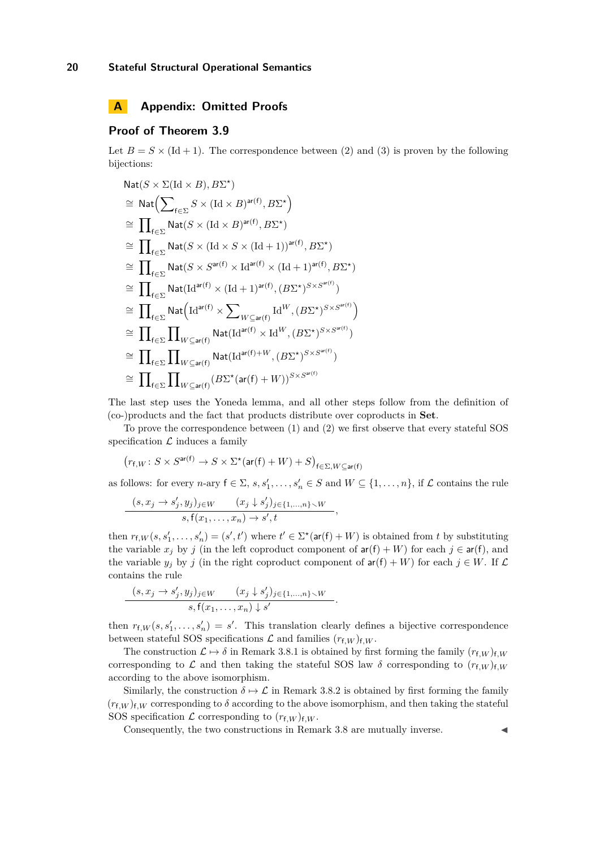### **A Appendix: Omitted Proofs**

# **Proof of [Theorem 3.9](#page-7-0)**

Let  $B = S \times (Id + 1)$ . The correspondence between (2) and (3) is proven by the following bijections:

$$
\begin{aligned}\n&\mathrm{Nat}(S\times\Sigma(\mathrm{Id}\times B),B\Sigma^{\star})\\&\cong\mathrm{Nat}\Big(\sum_{\mathsf{f}\in\Sigma}S\times(\mathrm{Id}\times B)^{\mathsf{ar}(\mathsf{f})},B\Sigma^{\star}\Big)\\&\cong\prod_{\mathsf{f}\in\Sigma}\mathrm{Nat}(S\times(\mathrm{Id}\times S)\mathsf{a}^{\mathsf{r}(\mathsf{f})},B\Sigma^{\star})\\&\cong\prod_{\mathsf{f}\in\Sigma}\mathrm{Nat}(S\times(\mathrm{Id}\times S\times(\mathrm{Id}+1))^{\mathsf{ar}(\mathsf{f})},B\Sigma^{\star})\\&\cong\prod_{\mathsf{f}\in\Sigma}\mathrm{Nat}(S\times S^{\mathsf{ar}(\mathsf{f})}\times\mathrm{Id}^{\mathsf{ar}(\mathsf{f})}\times(\mathrm{Id}+1)^{\mathsf{ar}(\mathsf{f})},B\Sigma^{\star})\\&\cong\prod_{\mathsf{f}\in\Sigma}\mathrm{Nat}(\mathrm{Id}^{\mathsf{ar}(\mathsf{f})}\times(\mathrm{Id}+1)^{\mathsf{ar}(\mathsf{f})},(B\Sigma^{\star})^{S\times S^{\mathsf{ar}(\mathsf{f})}})\\&\cong\prod_{\mathsf{f}\in\Sigma}\mathrm{Nat}\Big(\mathrm{Id}^{\mathsf{ar}(\mathsf{f})}\times\sum_{W\subseteq\mathsf{ar}(\mathsf{f})}\mathrm{Id}^{W},(B\Sigma^{\star})^{S\times S^{\mathsf{ar}(\mathsf{f})}}\Big)\\&\cong\prod_{\mathsf{f}\in\Sigma}\prod_{W\subseteq\mathsf{ar}(\mathsf{f})}\mathrm{Nat}(\mathrm{Id}^{\mathsf{ar}(\mathsf{f})}\times\mathrm{Id}^{W},(B\Sigma^{\star})^{S\times S^{\mathsf{ar}(\mathsf{f})}})\\&\cong\prod_{\mathsf{f}\in\Sigma}\prod_{W\subseteq\mathsf{ar}(\mathsf{f})}\mathrm{Nat}(\mathrm{Id}^{\mathsf{ar}(\mathsf{f})+W},(B\Sigma^{\star})^{S\times S^{\mathsf{ar}(\mathsf{f})}})\\&\cong\prod_{\mathsf{f}\in\Sigma}\prod_{W\subseteq\mathsf{ar}(\mathsf{f})}(B\Sigma^{\star}(\mathsf{ar}(\mathsf{f})+W))^{S\times S^{\mathsf{ar}(\mathsf{f})}}\end{aligned}
$$

The last step uses the Yoneda lemma, and all other steps follow from the definition of (co-)products and the fact that products distribute over coproducts in **Set**.

To prove the correspondence between (1) and (2) we first observe that every stateful SOS specification  $\mathcal L$  induces a family

$$
(r_{\mathsf{f},W} \colon S \times S^{\mathsf{ar}(\mathsf{f})} \to S \times \Sigma^{\star}(\mathsf{ar}(\mathsf{f}) + W) + S)_{\mathsf{f} \in \Sigma, W \subseteq \mathsf{ar}(\mathsf{f})}
$$

as follows: for every *n*-ary  $f \in \Sigma$ ,  $s, s'_1, \ldots, s'_n \in S$  and  $W \subseteq \{1, \ldots, n\}$ , if  $\mathcal L$  contains the rule

*,*

*.*

$$
\frac{(s, x_j \to s'_j, y_j)_{j \in W} \qquad (x_j \downarrow s'_j)_{j \in \{1, \dots, n\} \smallsetminus W}}{s, f(x_1, \dots, x_n) \to s', t}
$$

then  $r_{f,W}(s, s'_1, \ldots, s'_n) = (s', t')$  where  $t' \in \Sigma^*(\text{ar}(f) + W)$  is obtained from *t* by substituting the variable  $x_j$  by *j* (in the left coproduct component of  $ar(f) + W$ ) for each  $j \in ar(f)$ , and the variable  $y_j$  by *j* (in the right coproduct component of  $ar(f) + W$ ) for each  $j \in W$ . If L contains the rule

$$
\frac{(s, x_j \rightarrow s'_j, y_j)_{j \in W} \qquad (x_j \downarrow s'_j)_{j \in \{1, \dots, n\} \setminus W}}{s, f(x_1, \dots, x_n) \downarrow s'}
$$

then  $r_{f,W}(s, s'_1, \ldots, s'_n) = s'$ . This translation clearly defines a bijective correspondence between stateful SOS specifications  $\mathcal{L}$  and families  $(r_f, w)_f, W$ .

The construction  $\mathcal{L} \mapsto \delta$  in [Remark 3.8.](#page-0-0)[1](#page-6-4) is obtained by first forming the family  $(r_f, W)_f, W$ corresponding to  $\mathcal L$  and then taking the stateful SOS law  $\delta$  corresponding to  $(r_f, w)_{f, W}$ according to the above isomorphism.

Similarly, the construction  $\delta \mapsto \mathcal{L}$  in [Remark 3.8](#page-0-0)[.2](#page-7-3) is obtained by first forming the family  $(r_f, w)_f, w$  corresponding to  $\delta$  according to the above isomorphism, and then taking the stateful SOS specification  $\mathcal L$  corresponding to  $(r_{f,W})_{f,W}$ .

Consequently, the two constructions in [Remark 3.8](#page-0-0) are mutually inverse. ◀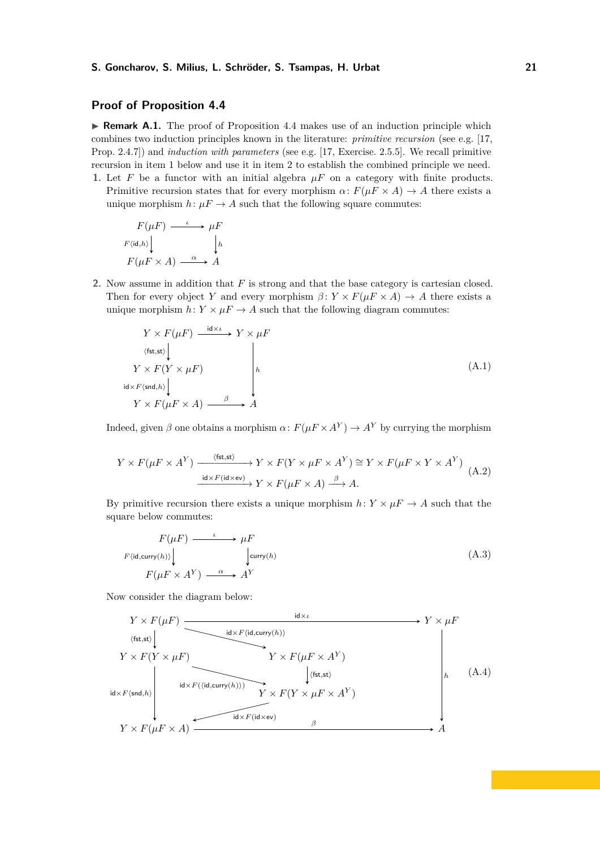# **Proof of [Proposition 4.4](#page-9-2)**

▶ **Remark A.1.** The proof of [Proposition 4.4](#page-9-2) makes use of an induction principle which combines two induction principles known in the literature: *primitive recursion* (see e.g. [\[17,](#page-17-10) Prop. 2.4.7]) and *induction with parameters* (see e.g. [\[17,](#page-17-10) Exercise. 2.5.5]. We recall primitive recursion in [item 1](#page-20-0) below and use it in [item 2](#page-20-1) to establish the combined principle we need.

<span id="page-20-0"></span>**1.** Let F be a functor with an initial algebra  $\mu$ F on a category with finite products. Primitive recursion states that for every morphism  $\alpha$ :  $F(\mu F \times A) \rightarrow A$  there exists a unique morphism  $h: \mu F \to A$  such that the following square commutes:

$$
F(\mu F) \xrightarrow{\iota} \mu F
$$
  

$$
F(\mu F \times A) \xrightarrow{\alpha} A
$$
  

$$
F(\mu F \times A) \xrightarrow{\alpha} A
$$

<span id="page-20-1"></span>**2.** Now assume in addition that *F* is strong and that the base category is cartesian closed. Then for every object *Y* and every morphism  $\beta: Y \times F(\mu F \times A) \to A$  there exists a unique morphism  $h: Y \times \mu \to A$  such that the following diagram commutes:

<span id="page-20-2"></span>
$$
Y \times F(\mu F) \xrightarrow{\text{id} \times \iota} Y \times \mu F
$$
  
\n
$$
\begin{array}{c}\n\langle \text{fst}, \text{st} \rangle \\
Y \times F(Y \times \mu F) \\
\text{id} \times F \langle \text{snd}, h \rangle \\
Y \times F(\mu F \times A) \xrightarrow{\beta} A\n\end{array}
$$
\n(A.1)

Indeed, given  $\beta$  one obtains a morphism  $\alpha \colon F(\mu F \times A^Y) \to A^Y$  by currying the morphism

$$
Y \times F(\mu F \times A^Y) \xrightarrow{\langle \text{fst}, \text{st} \rangle} Y \times F(Y \times \mu F \times A^Y) \cong Y \times F(\mu F \times Y \times A^Y)
$$
\n
$$
\xrightarrow{\text{id} \times F(\text{id} \times \text{ev})} Y \times F(\mu F \times A) \xrightarrow{\beta} A.
$$
\n(A.2)

By primitive recursion there exists a unique morphism  $h: Y \times \mu F \rightarrow A$  such that the square below commutes:

<span id="page-20-3"></span>
$$
F(\mu F) \xrightarrow{\iota} \mu F
$$
  
\n
$$
F(\text{id,curry}(h)) \downarrow \qquad \qquad \downarrow \text{curry}(h)
$$
  
\n
$$
F(\mu F \times A^Y) \xrightarrow{\alpha} A^Y
$$
 (A.3)

Now consider the diagram below:

$$
Y \times F(\mu F) \xrightarrow{\text{id} \times F(\text{id,curry}(h))} Y \times \mu F
$$
\n
$$
Y \times F(Y \times \mu F) \xrightarrow{\text{id} \times F(\text{id,curry}(h))} Y \times F(\mu F \times A^Y)
$$
\n
$$
Y \times F(\text{end}, h) \xrightarrow{\text{id} \times F(\text{id,curry}(h)))} Y \times F(Y \times \mu F \times A^Y)
$$
\n
$$
Y \times F(\mu F \times A) \xrightarrow{\text{id} \times F(\text{id} \times \text{ev})} \beta
$$
\n
$$
A
$$
\n(A.4)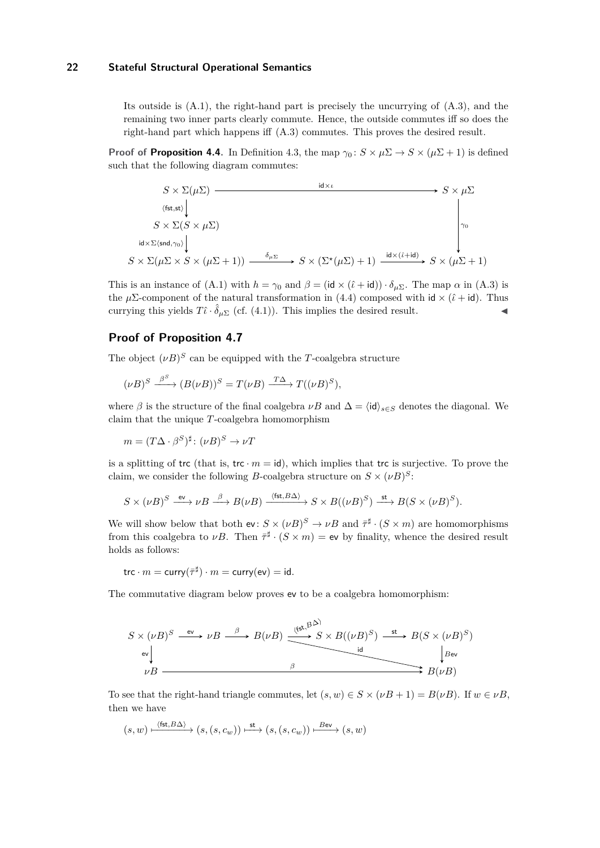Its outside is  $(A.1)$ , the right-hand part is precisely the uncurrying of  $(A.3)$ , and the remaining two inner parts clearly commute. Hence, the outside commutes iff so does the right-hand part which happens iff [\(A.3\)](#page-20-3) commutes. This proves the desired result.

**Proof of [Proposition 4.4.](#page-9-2)** In [Definition 4.3,](#page-9-3) the map  $\gamma_0$ :  $S \times \mu \Sigma \rightarrow S \times (\mu \Sigma + 1)$  is defined such that the following diagram commutes:

$$
S \times \Sigma(\mu\Sigma)
$$
\n
$$
\begin{array}{ccc}\n & \text{dist}_{\mathsf{S}}(S \times \mu\Sigma) & \\
 & \text{dist}_{\mathsf{S}}(S \times \mu\Sigma) & \\
 & \text{dist}_{\mathsf{S}}(S \times \mu\Sigma) & \\
 & \text{dist}_{\mathsf{S}}(S \times \mu\Sigma) & \\
 & \text{dist}_{\mathsf{S}}(S \times \mu\Sigma) & \\
 & \text{dist}_{\mathsf{S}}(S \times \mu\Sigma) & \\
 & \text{dist}_{\mathsf{S}}(S \times \mu\Sigma) & \\
 & \text{dist}_{\mathsf{S}}(S \times \mu\Sigma) & \\
 & \text{dist}_{\mathsf{S}}(S \times \mu\Sigma) & \\
 & \text{dist}_{\mathsf{S}}(S \times \mu\Sigma) & \\
 & \text{dist}_{\mathsf{S}}(S \times \mu\Sigma) & \\
 & \text{dist}_{\mathsf{S}}(S \times \mu\Sigma) & \\
 & \text{dist}_{\mathsf{S}}(S \times \mu\Sigma) & \\
 & \text{dist}_{\mathsf{S}}(S \times \mu\Sigma) & \\
 & \text{dist}_{\mathsf{S}}(S \times \mu\Sigma) & \\
 & \text{dist}_{\mathsf{S}}(S \times \mu\Sigma) & \\
 & \text{dist}_{\mathsf{S}}(S \times \mu\Sigma) & \\
 & \text{dist}_{\mathsf{S}}(S \times \mu\Sigma) & \\
 & \text{dist}_{\mathsf{S}}(S \times \mu\Sigma) & \\
 & \text{dist}_{\mathsf{S}}(S \times \mu\Sigma) & \\
 & \text{dist}_{\mathsf{S}}(S \times \mu\Sigma) & \\
 & \text{dist}_{\mathsf{S}}(S \times \mu\Sigma) & \\
 & \text{dist}_{\mathsf{S}}(S \times \mu\Sigma) & \\
 & \text{dist}_{\mathsf{S}}(S \times \mu\Sigma) & \\
 & \text{dist}_{\mathsf{S}}(S \times \mu\Sigma) & \\
 & \text{dist}_{\mathsf{S}}(S \times \mu\Sigma) & \\
 & \text{dist}_{\mathsf{S}}(S \times \mu\Sigma) & \\
 & \
$$

This is an instance of [\(A.1\)](#page-20-2) with  $h = \gamma_0$  and  $\beta = (\mathsf{id} \times (\hat{\iota} + \mathsf{id})) \cdot \delta_{\mu \Sigma}$ . The map  $\alpha$  in [\(A.3\)](#page-20-3) is the  $\mu\Sigma$ -component of the natural transformation in [\(4.4\)](#page-9-1) composed with id  $\times$  ( $\hat{\iota}$  + id). Thus currying this yields  $T\hat{\iota} \cdot \hat{\delta}_{\mu \Sigma}$  (cf. [\(4.1\)](#page-8-0)). This implies the desired result.

# **Proof of [Proposition 4.7](#page-10-0)**

The object  $(\nu B)^S$  can be equipped with the *T*-coalgebra structure

$$
(\nu B)^S \xrightarrow{\beta^S} (B(\nu B))^S = T(\nu B) \xrightarrow{T\Delta} T((\nu B)^S),
$$

where  $\beta$  is the structure of the final coalgebra  $\nu B$  and  $\Delta = \langle id \rangle_{s \in S}$  denotes the diagonal. We claim that the unique *T*-coalgebra homomorphism

$$
m = (T\Delta \cdot \beta^S)^{\sharp} \colon (\nu B)^S \to \nu T
$$

is a splitting of trc (that is, trc  $\cdot$  *m* = id), which implies that trc is surjective. To prove the claim, we consider the following *B*-coalgebra structure on  $S \times (\nu B)^S$ :

$$
S \times (\nu B)^S \xrightarrow{\text{ev}} \nu B \xrightarrow{\beta} B(\nu B) \xrightarrow{\langle \text{fst}, B\Delta \rangle} S \times B((\nu B)^S) \xrightarrow{\text{st}} B(S \times (\nu B)^S).
$$

We will show below that both  $ev: S \times (\nu B)^S \to \nu B$  and  $\bar{\tau}^{\sharp} \cdot (S \times m)$  are homomorphisms from this coalgebra to  $\nu B$ . Then  $\bar{\tau}^{\sharp} \cdot (S \times m) = \text{ev}$  by finality, whence the desired result holds as follows:

$$
\mathsf{trc}\cdot m=\mathsf{curry}(\bar\tau^\sharp)\cdot m=\mathsf{curry}(\mathsf{ev})=\mathsf{id}.
$$

The commutative diagram below proves ev to be a coalgebra homomorphism:

$$
S \times (\nu B)^S \xrightarrow{\text{ev}} \nu B \xrightarrow{\beta} B(\nu B) \xrightarrow{(\text{fst}, B^{\text{th}})} S \times B((\nu B)^S) \xrightarrow{\text{st}} B(S \times (\nu B)^S)
$$
  
\n
$$
\nu B \xrightarrow{\text{dev}} B(\nu B) \xrightarrow{\text{let}}
$$
  
\n
$$
\beta
$$
  
\n
$$
\beta
$$

To see that the right-hand triangle commutes, let  $(s, w) \in S \times (\nu B + 1) = B(\nu B)$ . If  $w \in \nu B$ , then we have

$$
(s,w) \xrightarrow{\langle \mathsf{fst}, B\Delta \rangle} (s,(s,c_w)) \xrightarrow{\mathsf{st}} (s,(s,c_w)) \xrightarrow{B \mathsf{ev}} (s,w)
$$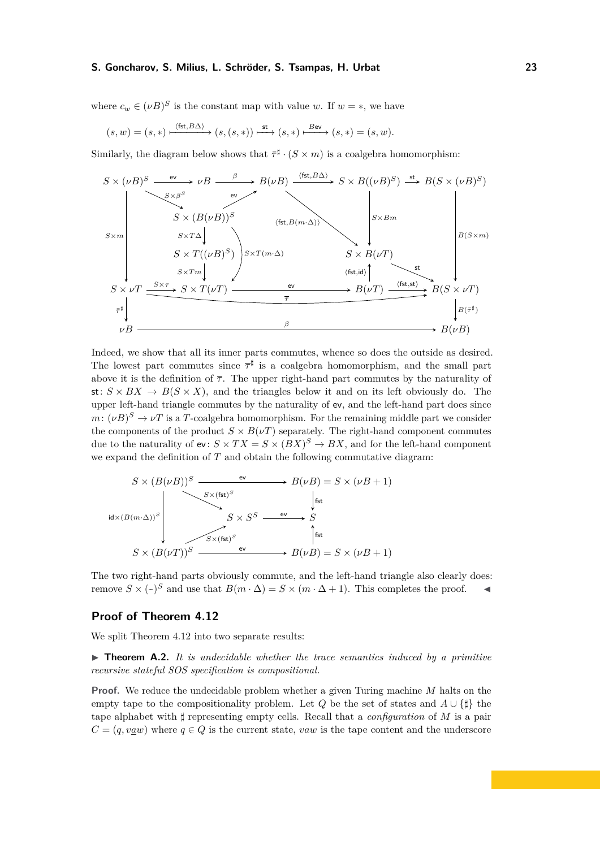where  $c_w \in (\nu B)^S$  is the constant map with value *w*. If  $w = *$ , we have

$$
(s, w) = (s, *) \xrightarrow{\text{(fst, B\Delta)}} (s, (s, *)) \xrightarrow{\text{st}} (s, *) \xrightarrow{\text{Bev}} (s, *) = (s, w).
$$

Similarly, the diagram below shows that  $\bar{\tau}^{\sharp} \cdot (S \times m)$  is a coalgebra homomorphism:



Indeed, we show that all its inner parts commutes, whence so does the outside as desired. The lowest part commutes since  $\bar{\tau}^{\sharp}$  is a coalgebra homomorphism, and the small part above it is the definition of  $\bar{\tau}$ . The upper right-hand part commutes by the naturality of st:  $S \times BX \to B(S \times X)$ , and the triangles below it and on its left obviously do. The upper left-hand triangle commutes by the naturality of ev, and the left-hand part does since  $m: (\nu B)^S \to \nu T$  is a *T*-coalgebra homomorphism. For the remaining middle part we consider the components of the product  $S \times B(\nu)$  separately. The right-hand component commutes due to the naturality of  $ev: S \times TX = S \times (BX)^S \to BX$ , and for the left-hand component we expand the definition of *T* and obtain the following commutative diagram:

$$
S \times (B(\nu B))^S \xrightarrow{\text{ev}} B(\nu B) = S \times (\nu B + 1)
$$
  
\n
$$
S \times (B(\nu T))^S \xrightarrow{\text{S} \times (\text{fst})^S} S \times S^S \xrightarrow{\text{ev}} S
$$
  
\n
$$
S \times (B(\nu T))^S \xrightarrow{\text{ev}} B(\nu B) = S \times (\nu B + 1)
$$

The two right-hand parts obviously commute, and the left-hand triangle also clearly does: remove  $S \times (-)^S$  and use that  $B(m \cdot \Delta) = S \times (m \cdot \Delta + 1)$ . This completes the proof.

### **Proof of [Theorem 4.12](#page-12-2)**

We split [Theorem 4.12](#page-12-2) into two separate results:

<span id="page-22-0"></span> $\triangleright$  **Theorem A.2.** It is undecidable whether the trace semantics induced by a primitive *recursive stateful SOS specification is compositional.*

**Proof.** We reduce the undecidable problem whether a given Turing machine *M* halts on the empty tape to the compositionality problem. Let *Q* be the set of states and *A* ∪ {*♯*} the tape alphabet with *♯* representing empty cells. Recall that a *configuration* of *M* is a pair  $C = (q, vaw)$  where  $q \in Q$  is the current state, *vaw* is the tape content and the underscore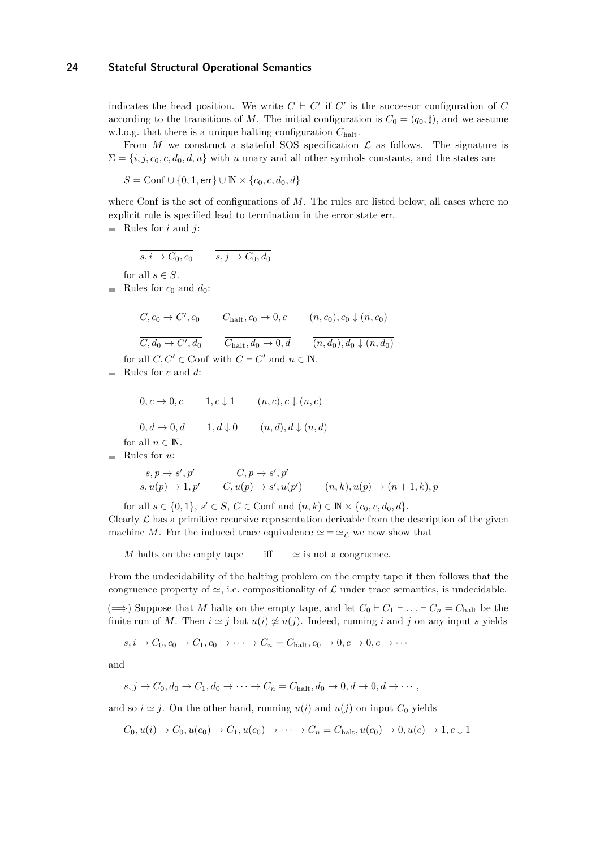indicates the head position. We write  $C \vdash C'$  if  $C'$  is the successor configuration of  $C$ according to the transitions of *M*. The initial configuration is  $C_0 = (q_0, \sharp)$ , and we assume w.l.o.g. that there is a unique halting configuration *C*halt.

From *M* we construct a stateful SOS specification  $\mathcal L$  as follows. The signature is  $\Sigma = \{i, j, c_0, c, d_0, d, u\}$  with *u* unary and all other symbols constants, and the states are

$$
S = \text{Conf} \cup \{0, 1, \text{err}\} \cup \mathbb{N} \times \{c_0, c, d_0, d\}
$$

where Conf is the set of configurations of M. The rules are listed below; all cases where no explicit rule is specified lead to termination in the error state err.

Rules for  $i$  and  $j$ :

$$
\overline{s,i \to C_0, c_0} \qquad \overline{s,j \to C_0, d_0}
$$

for all  $s \in S$ .

Rules for  $c_0$  and  $d_0$ :

| $C, c_0 \rightarrow C', c_0$ | $C_{\text{halt}}, c_0 \rightarrow 0, c$ | $(n, c_0), c_0 \downarrow (n, c_0)$ |
|------------------------------|-----------------------------------------|-------------------------------------|
| $C, d_0 \rightarrow C', d_0$ | $C_{\text{halt}}, d_0 \rightarrow 0, d$ | $(n, d_0), d_0 \downarrow (n, d_0)$ |

for all  $C, C' \in \text{Conf}$  with  $C \vdash C'$  and  $n \in \mathbb{N}$ .

Rules for *c* and *d*:  $\equiv$ 

$$
\overline{0, c \to 0, c} \qquad \overline{1, c \downarrow 1} \qquad \overline{(n, c), c \downarrow (n, c)}
$$
\n
$$
\overline{0, d \to 0, d} \qquad \overline{1, d \downarrow 0} \qquad \overline{(n, d), d \downarrow (n, d)}
$$
\nfor all  $n \in \mathbb{N}$ .

Rules for *u*:

$$
\frac{s, p \to s', p'}{s, u(p) \to 1, p'} \qquad \frac{C, p \to s', p'}{C, u(p) \to s', u(p')} \qquad \frac{}{(n, k), u(p) \to (n + 1, k), p}
$$

for all  $s \in \{0, 1\}, s' \in S, C \in \text{Conf} \text{ and } (n, k) \in \mathbb{N} \times \{c_0, c, d_0, d\}.$ 

Clearly  $\mathcal L$  has a primitive recursive representation derivable from the description of the given machine *M*. For the induced trace equivalence  $\simeq = \simeq_{\mathcal{L}}$  we now show that

*M* halts on the empty tape iff  $\simeq$  is not a congruence.

From the undecidability of the halting problem on the empty tape it then follows that the congruence property of  $\approx$ , i.e. compositionality of  $\mathcal L$  under trace semantics, is undecidable.

( $\implies$ ) Suppose that *M* halts on the empty tape, and let  $C_0$  ⊢  $C_1$  ⊢  $\ldots$  ⊢  $C_n = C_{\text{halt}}$  be the finite run of *M*. Then  $i \approx j$  but  $u(i) \not\approx u(j)$ . Indeed, running *i* and *j* on any input *s* yields

$$
s, i \to C_0, c_0 \to C_1, c_0 \to \cdots \to C_n = C_{\text{halt}}, c_0 \to 0, c \to 0, c \to \cdots
$$

and

$$
s, j \to C_0, d_0 \to C_1, d_0 \to \cdots \to C_n = C_{halt}, d_0 \to 0, d \to 0, d \to \cdots
$$

and so  $i \approx j$ . On the other hand, running  $u(i)$  and  $u(j)$  on input  $C_0$  yields

 $C_0, u(i) \to C_0, u(c_0) \to C_1, u(c_0) \to \cdots \to C_n = C_{\text{halt}}, u(c_0) \to 0, u(c) \to 1, c \downarrow 1$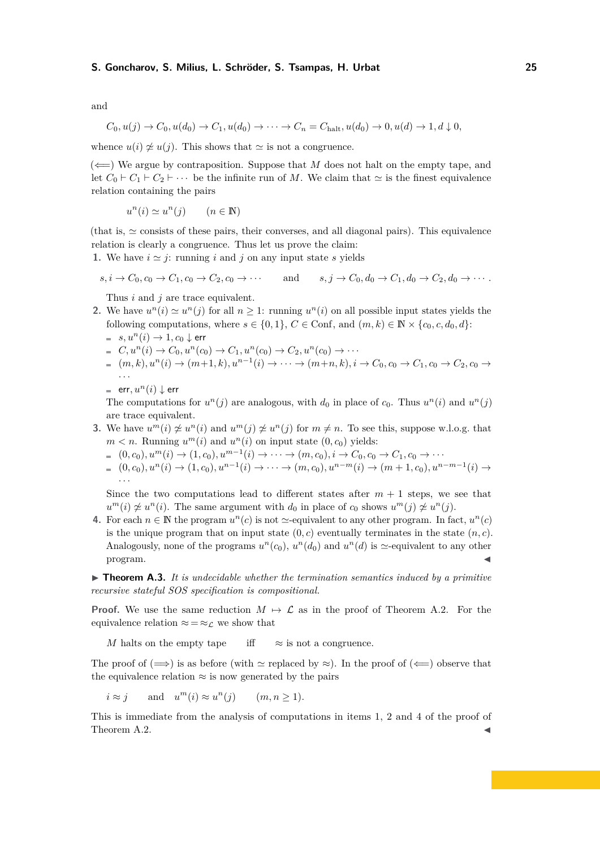and

$$
C_0, u(j) \to C_0, u(d_0) \to C_1, u(d_0) \to \cdots \to C_n = C_{\text{halt}}, u(d_0) \to 0, u(d) \to 1, d \downarrow 0,
$$

whence  $u(i) \not\simeq u(j)$ . This shows that  $\simeq$  is not a congruence.

 $(\Leftarrow)$  We argue by contraposition. Suppose that *M* does not halt on the empty tape, and let  $C_0 \vdash C_1 \vdash C_2 \vdash \cdots$  be the infinite run of *M*. We claim that  $\simeq$  is the finest equivalence relation containing the pairs

$$
u^n(i) \simeq u^n(j) \qquad (n \in \mathbb{N})
$$

(that is,  $\simeq$  consists of these pairs, their converses, and all diagonal pairs). This equivalence relation is clearly a congruence. Thus let us prove the claim:

<span id="page-24-0"></span>**1.** We have  $i \approx j$ : running *i* and *j* on any input state *s* yields

$$
s, i \rightarrow C_0, c_0 \rightarrow C_1, c_0 \rightarrow C_2, c_0 \rightarrow \cdots
$$
 and  $s, j \rightarrow C_0, d_0 \rightarrow C_1, d_0 \rightarrow C_2, d_0 \rightarrow \cdots$ .

Thus *i* and *j* are trace equivalent.

- <span id="page-24-1"></span>**2.** We have  $u^n(i) \simeq u^n(j)$  for all  $n \geq 1$ : running  $u^n(i)$  on all possible input states yields the following computations, where  $s \in \{0,1\}$ ,  $C \in \text{Conf}$ , and  $(m, k) \in \mathbb{N} \times \{c_0, c, d_0, d\}$ :
	- $s, u^n(i) \rightarrow 1, c_0 \downarrow$  err
	- $C, u^n(i) \to C_0, u^n(c_0) \to C_1, u^n(c_0) \to C_2, u^n(c_0) \to \cdots$
	- $(m, k), u^{n}(i) \rightarrow (m+1, k), u^{n-1}(i) \rightarrow \cdots \rightarrow (m+n, k), i \rightarrow C_0, c_0 \rightarrow C_1, c_0 \rightarrow C_2, c_0 \rightarrow$ · · ·

 $=$  err,  $u^n(i) \downarrow$  err

The computations for  $u^n(j)$  are analogous, with  $d_0$  in place of  $c_0$ . Thus  $u^n(i)$  and  $u^n(j)$ are trace equivalent.

- **3.** We have  $u^m(i) \neq u^n(i)$  and  $u^m(j) \neq u^n(j)$  for  $m \neq n$ . To see this, suppose w.l.o.g. that  $m < n$ . Running  $u^m(i)$  and  $u^n(i)$  on input state  $(0, c_0)$  yields:
	- $(0, c_0), u^m(i) \to (1, c_0), u^{m-1}(i) \to \cdots \to (m, c_0), i \to C_0, c_0 \to C_1, c_0 \to \cdots$
	- $(0, c_0), u^n(i) \to (1, c_0), u^{n-1}(i) \to \cdots \to (m, c_0), u^{n-m}(i) \to (m+1, c_0), u^{n-m-1}(i) \to$ · · ·

Since the two computations lead to different states after  $m + 1$  steps, we see that  $u^m(i) \not\simeq u^n(i)$ . The same argument with  $d_0$  in place of  $c_0$  shows  $u^m(j) \not\simeq u^n(j)$ .

<span id="page-24-2"></span>**4.** For each *n* ∈ **N** the program  $u^n(c)$  is not ≃-equivalent to any other program. In fact,  $u^n(c)$ is the unique program that on input state  $(0, c)$  eventually terminates in the state  $(n, c)$ . Analogously, none of the programs  $u^n(c_0)$ ,  $u^n(d_0)$  and  $u^n(d)$  is  $\simeq$ -equivalent to any other  $\blacksquare$ program.  $\blacktriangleleft$ 

▶ **Theorem A.3.** *It is undecidable whether the termination semantics induced by a primitive recursive stateful SOS specification is compositional.*

**Proof.** We use the same reduction  $M \mapsto \mathcal{L}$  as in the proof of [Theorem A.2.](#page-22-0) For the equivalence relation  $\approx = \approx_{\mathcal{L}}$  we show that

*M* halts on the empty tape iff  $\approx$  is not a congruence.

The proof of  $(\implies)$  is as before (with  $\simeq$  replaced by  $\approx$ ). In the proof of  $(\Longleftarrow)$  observe that the equivalence relation  $\approx$  is now generated by the pairs

 $i \approx j$  and  $u^m(i) \approx u^n(j)$   $(m, n \ge 1)$ *.* 

This is immediate from the analysis of computations in [items 1,](#page-24-0) [2](#page-24-1) and [4](#page-24-2) of the proof of [Theorem A.2.](#page-22-0)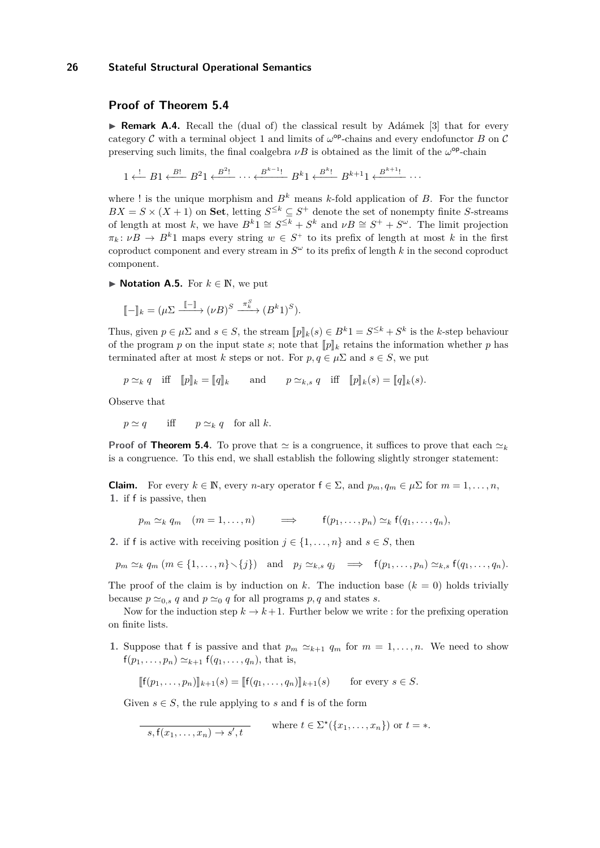# **Proof of [Theorem 5.4](#page-13-1)**

▶ **Remark A.4.** Recall the (dual of) the classical result by Adámek [\[3\]](#page-16-11) that for every category  $C$  with a terminal object 1 and limits of  $\omega^{\mathsf{op}}$ -chains and every endofunctor *B* on  $C$ preserving such limits, the final coalgebra  $\nu B$  is obtained as the limit of the  $\omega^{\rm op}$ -chain

 $1 \leftarrow B1 \leftarrow B^2 1 \leftarrow B^{2}$ <br>  $\cdots \leftarrow B^{k-1}$ <br> *B*<sup>k<sub>1</sub></sup>  $\leftarrow B^{k+1} 1 \leftarrow B^{k+1}$ <br>  $\cdots$ 

where ! is the unique morphism and  $B^k$  means *k*-fold application of *B*. For the functor  $BX = S \times (X + 1)$  on **Set**, letting  $S^{\leq k} \subseteq S^+$  denote the set of nonempty finite *S*-streams of length at most *k*, we have  $B^k1 \cong S^{\leq k} + S^k$  and  $\nu B \cong S^+ + S^\omega$ . The limit projection  $\pi_k: \nu B \to B^k 1$  maps every string  $w \in S^+$  to its prefix of length at most *k* in the first coproduct component and every stream in  $S^{\omega}$  to its prefix of length k in the second coproduct component.

▶ **Notation A.5.** For  $k \in \mathbb{N}$ , we put

$$
[\![-]\!]_k = (\mu \Sigma \xrightarrow{[\![-]\!]}\! (\nu B)^S \xrightarrow{\pi_k^S} (B^k 1)^S).
$$

Thus, given  $p \in \mu\Sigma$  and  $s \in S$ , the stream  $[\![p]\!]_k(s) \in B^k 1 = S^{\leq k} + S^k$  is the *k*-step behaviour of the program  $x$  on the input state *s* unto that  $[\![x]\!]$ , pateing the information whether *n* has of the program p on the input state  $s$ ; note that  $\llbracket p \rrbracket_k$  retains the information whether p has terminated after at most *k* steps or not. For  $p, q \in \mu \Sigma$  and  $s \in S$ , we put

$$
p \simeq_k q
$$
 iff  $[p]_k = [q]_k$  and  $p \simeq_{k,s} q$  iff  $[p]_k(s) = [q]_k(s)$ .

Observe that

 $p \simeq q$  iff  $p \simeq_k q$  for all *k*.

**Proof of [Theorem 5.4.](#page-13-1)** To prove that  $\simeq$  is a congruence, it suffices to prove that each  $\simeq$ <sub>*k*</sub> is a congruence. To this end, we shall establish the following slightly stronger statement:

**Claim.** For every  $k \in \mathbb{N}$ , every *n*-ary operator  $f \in \Sigma$ , and  $p_m, q_m \in \mu \Sigma$  for  $m = 1, \ldots, n$ , **1.** if f is passive, then

$$
p_m \simeq_k q_m \quad (m=1,\ldots,n) \qquad \Longrightarrow \qquad \mathsf{f}(p_1,\ldots,p_n) \simeq_k \mathsf{f}(q_1,\ldots,q_n),
$$

2. if f is active with receiving position  $j \in \{1, \ldots, n\}$  and  $s \in S$ , then

$$
p_m \simeq_k q_m (m \in \{1,\ldots,n\} \setminus \{j\})
$$
 and  $p_j \simeq_{k,s} q_j \implies f(p_1,\ldots,p_n) \simeq_{k,s} f(q_1,\ldots,q_n).$ 

The proof of the claim is by induction on k. The induction base  $(k = 0)$  holds trivially because  $p \simeq_{0,s} q$  and  $p \simeq_0 q$  for all programs  $p, q$  and states *s*.

Now for the induction step  $k \to k+1$ . Further below we write : for the prefixing operation on finite lists.

**1.** Suppose that f is passive and that  $p_m \simeq_{k+1} q_m$  for  $m = 1, \ldots, n$ . We need to show  $f(p_1, ..., p_n) \simeq_{k+1} f(q_1, ..., q_n)$ , that is,

$$
[\![f(p_1, ..., p_n)]\!]_{k+1}(s) = [\![f(q_1, ..., q_n)]\!]_{k+1}(s)
$$
 for every  $s \in S$ .

Given  $s \in S$ , the rule applying to *s* and f is of the form

$$
\overline{\quad s, f(x_1, \ldots, x_n) \to s', t}
$$
 where  $t \in \Sigma^*(\{x_1, \ldots, x_n\})$  or  $t = *$ .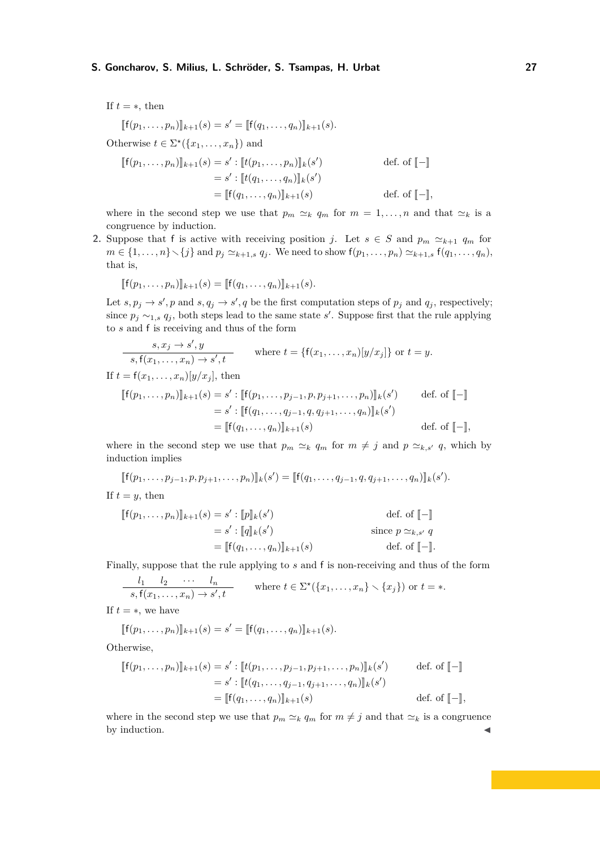If  $t = *$ , then

$$
[ [f(p_1, \ldots, p_n) ]]_{k+1}(s) = s' = [ [f(q_1, \ldots, q_n) ]]_{k+1}(s).
$$

Otherwise  $t \in \Sigma^*(\{x_1, \ldots, x_n\})$  and

$$
[[f(p_1,...,p_n)]]_{k+1}(s) = s' : [[t(p_1,...,p_n)]]_k(s') \qquad \text{def. of } [[-]]
$$
  
= s' : [[t(q\_1,...,q\_n)]]\_k(s')  
= [[f(q\_1,...,q\_n)]]\_{k+1}(s) \qquad \text{def. of } [[-]],

where in the second step we use that  $p_m \simeq_k q_m$  for  $m = 1, \ldots, n$  and that  $\simeq_k$  is a congruence by induction.

**2.** Suppose that f is active with receiving position *j*. Let *s*  $\in$  *S* and  $p_m \simeq_{k+1} q_m$  for *m* ∈ {1, . . . , *n*}  $\setminus$  {*j*} and *p<sub>j</sub>* ≃*k*+1*,s q<sub>j</sub>*. We need to show  $f(p_1, ..., p_n)$  ≃*k*+1*,s*  $f(q_1, ..., q_n)$ , that is,

$$
[[f(p_1,\ldots,p_n)]\!]_{k+1}(s) = [[f(q_1,\ldots,q_n)]\!]_{k+1}(s).
$$

Let  $s, p_j \to s', p$  and  $s, q_j \to s', q$  be the first computation steps of  $p_j$  and  $q_j$ , respectively; since  $p_j \sim_{1,s} q_j$ , both steps lead to the same state *s'*. Suppose first that the rule applying to *s* and f is receiving and thus of the form

$$
\frac{s, x_j \to s', y}{s, f(x_1, \dots, x_n) \to s', t} \quad \text{where } t = \{f(x_1, \dots, x_n)[y/x_j]\} \text{ or } t = y.
$$
  
If  $t = f(x_1, \dots, x_n)[y/x_j]$ , then  

$$
[[f(p_1, \dots, p_n)]]_{k+1}(s) = s' : [[f(p_1, \dots, p_{j-1}, p, p_{j+1}, \dots, p_n)]]_k(s') \quad \text{def. of } [[-\text{supp}(q_1, \dots, q_{j-1}, q, q_{j+1}, \dots, q_n)]]_k(s')
$$

$$
= [f(q_1, \ldots, q_n)]_{k+1}(s)
$$
def. of  $[-]$ ,

where in the second step we use that  $p_m \simeq_k q_m$  for  $m \neq j$  and  $p \simeq_{k,s'} q$ , which by induction implies

$$
[[f(p_1,\ldots,p_{j-1},p,p_{j+1},\ldots,p_n)]]_k(s')=[[f(q_1,\ldots,q_{j-1},q,q_{j+1},\ldots,q_n)]]_k(s').
$$

If  $t = y$ , then

$$
\begin{aligned}\n[\![\mathbf{f}(p_1,\ldots,p_n)]\!]_{k+1}(s) &= s': [\![p]\!]_k(s') & \text{def. of } [\![-\!] \\
&= s': [\![q]\!]_k(s') & \text{since } p \simeq_{k,s'} q \\
&= [\![\mathbf{f}(q_1,\ldots,q_n)]\!]_{k+1}(s) & \text{def. of } [\![-\!].\n\end{aligned}
$$

Finally, suppose that the rule applying to *s* and f is non-receiving and thus of the form

$$
\frac{l_1 \quad l_2 \quad \cdots \quad l_n}{s, f(x_1, \ldots, x_n) \to s', t} \qquad \text{where } t \in \Sigma^{\star}(\{x_1, \ldots, x_n\} \setminus \{x_j\}) \text{ or } t = \ast.
$$

If  $t = *$ , we have

$$
[[(p_1,\ldots,p_n)]]_{k+1}(s) = s' = [[[(q_1,\ldots,q_n)]]_{k+1}(s).
$$

Otherwise,

$$
[[f(p_1, ..., p_n)]]_{k+1}(s) = s' : [[t(p_1, ..., p_{j-1}, p_{j+1}, ..., p_n)]]_k(s') \text{ def. of } [-\mathbf{z}]
$$
  
= s' : 
$$
[t(q_1, ..., q_{j-1}, q_{j+1}, ..., q_n)]_k(s')
$$
  
= 
$$
[[f(q_1, ..., q_n)]]_{k+1}(s) \text{ def. of } [-\mathbf{z}],
$$

where in the second step we use that  $p_m \simeq_k q_m$  for  $m \neq j$  and that  $\simeq_k$  is a congruence by induction.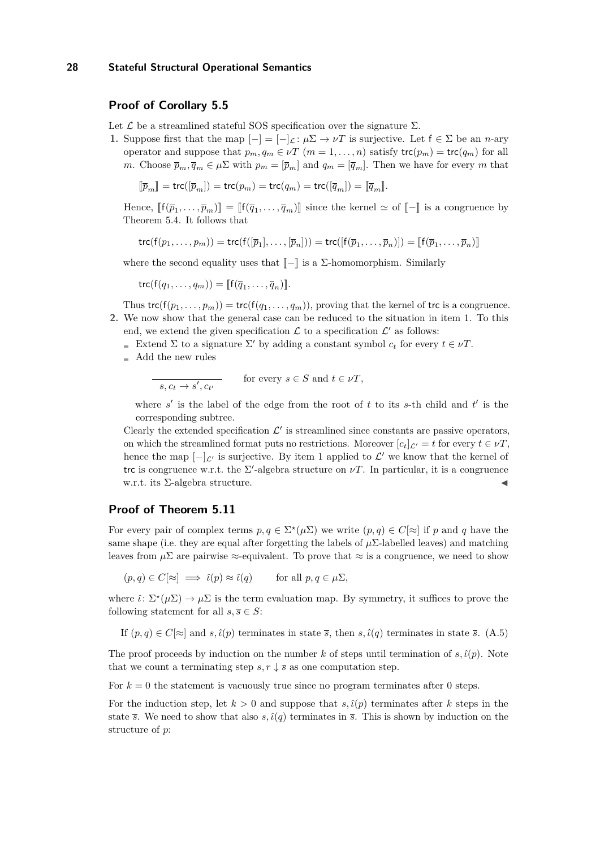# **Proof of [Corollary 5.5](#page-13-0)**

Let  $\mathcal L$  be a streamlined stateful SOS specification over the signature  $\Sigma$ .

<span id="page-27-0"></span>**1.** Suppose first that the map  $[-] = [-]_C : \mu \Sigma \to \nu T$  is surjective. Let  $f \in \Sigma$  be an *n*-ary operator and suppose that  $p_m, q_m \in \nu T$  ( $m = 1, ..., n$ ) satisfy  $\text{trc}(p_m) = \text{trc}(q_m)$  for all *m*. Choose  $\overline{p}_m, \overline{q}_m \in \mu \Sigma$  with  $p_m = [\overline{p}_m]$  and  $q_m = [\overline{q}_m]$ . Then we have for every *m* that

$$
[\![\overline{p}_m]\!]=\mathrm{trc}([\overline{p}_m])=\mathrm{trc}(p_m)=\mathrm{trc}(q_m)=\mathrm{trc}([\overline{q}_m])=[\overline{q}_m].
$$

Hence,  $[\![\mathsf{f}(\overline{p}_1,\ldots,\overline{p}_m)]\!] = [\![\mathsf{f}(\overline{q}_1,\ldots,\overline{q}_m)]\!]$  since the kernel  $\simeq$  of  $[\![-\!]$  is a congruence by Theorem 5.4. It follows that [Theorem 5.4.](#page-13-1) It follows that

$$
\mathsf{trc}(f(p_1,\ldots,p_m)) = \mathsf{trc}(f([\overline{p}_1],\ldots,[\overline{p}_n])) = \mathsf{trc}([\overline{f}(\overline{p}_1,\ldots,\overline{p}_n)]) = [\overline{f}(\overline{p}_1,\ldots,\overline{p}_n)]
$$

where the second equality uses that  $\llbracket - \rrbracket$  is a  $\Sigma$ -homomorphism. Similarly

$$
\mathsf{trc}(f(q_1,\ldots,q_m))=[\![f(\overline{q}_1,\ldots,\overline{q}_n)]\!].
$$

Thus  $\textsf{trc}(f(p_1, \ldots, p_m)) = \textsf{trc}(f(q_1, \ldots, q_m))$ , proving that the kernel of trc is a congruence. **2.** We now show that the general case can be reduced to the situation in [item 1.](#page-27-0) To this

- end, we extend the given specification  $\mathcal L$  to a specification  $\mathcal L'$  as follows:
- Extend  $\Sigma$  to a signature  $\Sigma'$  by adding a constant symbol  $c_t$  for every  $t \in \nu T$ .
- Add the new rules

$$
\frac{s, c_t \to s', c_{t'}}{s, c_t \to s', c_{t'}} \qquad \text{for every } s \in S \text{ and } t \in \nu T,
$$

where  $s'$  is the label of the edge from the root of  $t$  to its  $s$ -th child and  $t'$  is the corresponding subtree.

Clearly the extended specification  $\mathcal{L}'$  is streamlined since constants are passive operators, on which the streamlined format puts no restrictions. Moreover  $[c_t]_{\mathcal{L}'} = t$  for every  $t \in \nu T$ , hence the map  $[-]_{\mathcal{L}'}$  is surjective. By [item 1](#page-27-0) applied to  $\mathcal{L}'$  we know that the kernel of trc is congruence w.r.t. the  $\Sigma'$ -algebra structure on  $\nu T$ . In particular, it is a congruence w.r.t. its  $\Sigma$ -algebra structure.

### **Proof of [Theorem 5.11](#page-15-0)**

For every pair of complex terms  $p, q \in \Sigma^*(\mu\Sigma)$  we write  $(p, q) \in C[\approx]$  if p and q have the same shape (i.e. they are equal after forgetting the labels of  $\mu\Sigma$ -labelled leaves) and matching leaves from  $\mu\Sigma$  are pairwise  $\approx$ -equivalent. To prove that  $\approx$  is a congruence, we need to show

 $(p, q) \in C[\approx] \implies \hat{\iota}(p) \approx \hat{\iota}(q)$  for all  $p, q \in \mu\Sigma$ ,

where  $\hat{\iota}: \Sigma^*(\mu\Sigma) \to \mu\Sigma$  is the term evaluation map. By symmetry, it suffices to prove the following statement for all  $s, \overline{s} \in S$ :

If  $(p,q) \in C[\approx]$  and  $s, \hat{\iota}(p)$  terminates in state  $\bar{s}$ , then  $s, \hat{\iota}(q)$  terminates in state  $\bar{s}$ . (A.5)

The proof proceeds by induction on the number *k* of steps until termination of  $s, \hat{\iota}(p)$ . Note that we count a terminating step  $s, r \downarrow \overline{s}$  as one computation step.

For  $k = 0$  the statement is vacuously true since no program terminates after 0 steps.

For the induction step, let  $k > 0$  and suppose that  $s, \hat{\iota}(p)$  terminates after k steps in the state  $\bar{s}$ . We need to show that also  $s, \hat{\iota}(q)$  terminates in  $\bar{s}$ . This is shown by induction on the structure of *p*: